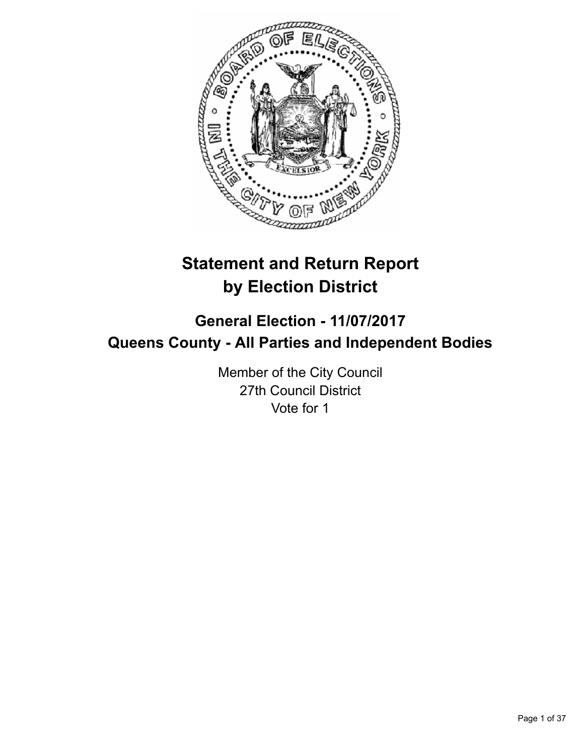

# **Statement and Return Report by Election District**

# **General Election - 11/07/2017 Queens County - All Parties and Independent Bodies**

Member of the City Council 27th Council District Vote for 1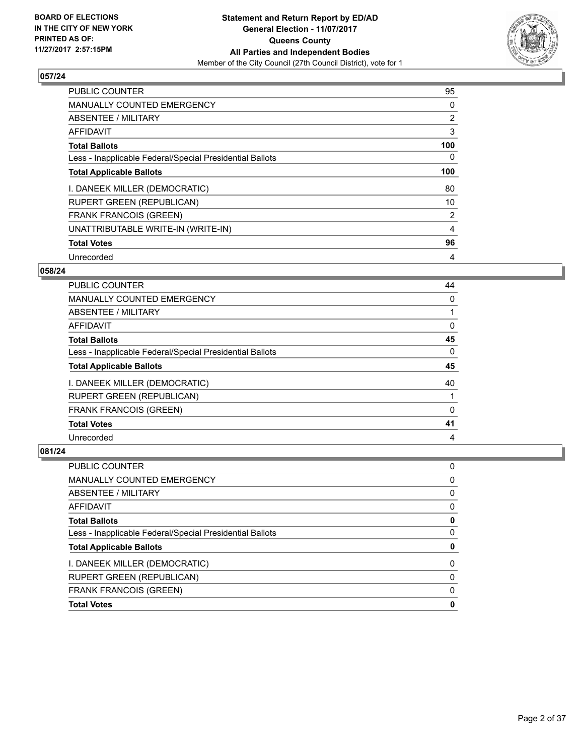

| <b>PUBLIC COUNTER</b>                                    | 95  |
|----------------------------------------------------------|-----|
| <b>MANUALLY COUNTED EMERGENCY</b>                        | 0   |
| ABSENTEE / MILITARY                                      | 2   |
| AFFIDAVIT                                                | 3   |
| <b>Total Ballots</b>                                     | 100 |
| Less - Inapplicable Federal/Special Presidential Ballots | 0   |
| <b>Total Applicable Ballots</b>                          | 100 |
| I. DANEEK MILLER (DEMOCRATIC)                            | 80  |
| <b>RUPERT GREEN (REPUBLICAN)</b>                         | 10  |
| <b>FRANK FRANCOIS (GREEN)</b>                            | 2   |
| UNATTRIBUTABLE WRITE-IN (WRITE-IN)                       | 4   |
| <b>Total Votes</b>                                       | 96  |
| Unrecorded                                               | 4   |

## **058/24**

| <b>PUBLIC COUNTER</b>                                    | 44 |
|----------------------------------------------------------|----|
| <b>MANUALLY COUNTED EMERGENCY</b>                        | 0  |
| ABSENTEE / MILITARY                                      |    |
| AFFIDAVIT                                                | 0  |
| <b>Total Ballots</b>                                     | 45 |
| Less - Inapplicable Federal/Special Presidential Ballots | 0  |
| <b>Total Applicable Ballots</b>                          | 45 |
|                                                          |    |
| I. DANEEK MILLER (DEMOCRATIC)                            | 40 |
| <b>RUPERT GREEN (REPUBLICAN)</b>                         |    |
| <b>FRANK FRANCOIS (GREEN)</b>                            | 0  |
| <b>Total Votes</b>                                       | 41 |

| <b>PUBLIC COUNTER</b>                                    | 0 |
|----------------------------------------------------------|---|
| MANUALLY COUNTED EMERGENCY                               | 0 |
| <b>ABSENTEE / MILITARY</b>                               | 0 |
| <b>AFFIDAVIT</b>                                         | 0 |
| <b>Total Ballots</b>                                     | 0 |
| Less - Inapplicable Federal/Special Presidential Ballots | 0 |
| <b>Total Applicable Ballots</b>                          | 0 |
| I. DANEEK MILLER (DEMOCRATIC)                            | 0 |
| <b>RUPERT GREEN (REPUBLICAN)</b>                         | 0 |
| <b>FRANK FRANCOIS (GREEN)</b>                            | 0 |
| <b>Total Votes</b>                                       | 0 |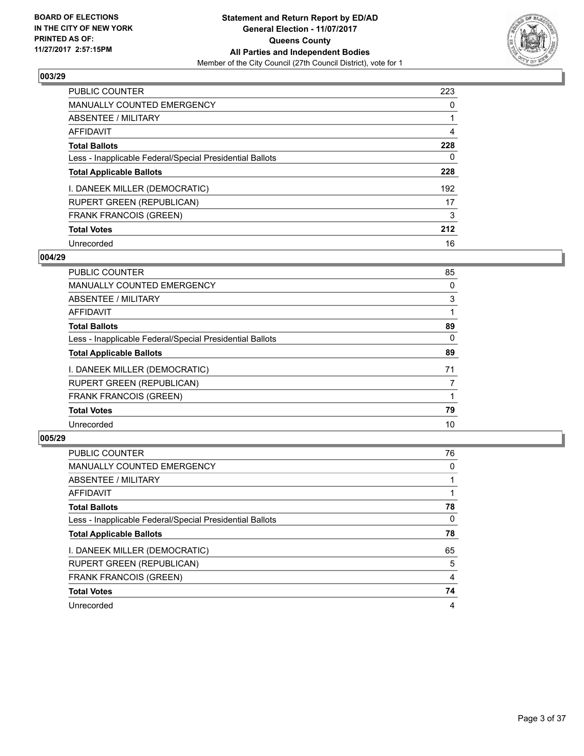

| <b>PUBLIC COUNTER</b>                                    | 223 |
|----------------------------------------------------------|-----|
| <b>MANUALLY COUNTED EMERGENCY</b>                        | 0   |
| ABSENTEE / MILITARY                                      |     |
| <b>AFFIDAVIT</b>                                         | 4   |
| <b>Total Ballots</b>                                     | 228 |
| Less - Inapplicable Federal/Special Presidential Ballots | 0   |
| <b>Total Applicable Ballots</b>                          | 228 |
| I. DANEEK MILLER (DEMOCRATIC)                            | 192 |
| <b>RUPERT GREEN (REPUBLICAN)</b>                         | 17  |
| <b>FRANK FRANCOIS (GREEN)</b>                            | 3   |
| <b>Total Votes</b>                                       | 212 |
| Unrecorded                                               | 16  |

#### **004/29**

| <b>PUBLIC COUNTER</b>                                    | 85 |
|----------------------------------------------------------|----|
| <b>MANUALLY COUNTED EMERGENCY</b>                        | 0  |
| ABSENTEE / MILITARY                                      | 3  |
| AFFIDAVIT                                                |    |
| <b>Total Ballots</b>                                     | 89 |
| Less - Inapplicable Federal/Special Presidential Ballots | 0  |
| <b>Total Applicable Ballots</b>                          | 89 |
| I. DANEEK MILLER (DEMOCRATIC)                            | 71 |
| <b>RUPERT GREEN (REPUBLICAN)</b>                         | 7  |
| <b>FRANK FRANCOIS (GREEN)</b>                            |    |
| <b>Total Votes</b>                                       | 79 |
| Unrecorded                                               | 10 |
|                                                          |    |

| <b>PUBLIC COUNTER</b>                                    | 76 |
|----------------------------------------------------------|----|
| <b>MANUALLY COUNTED EMERGENCY</b>                        | 0  |
| ABSENTEE / MILITARY                                      |    |
| AFFIDAVIT                                                |    |
| <b>Total Ballots</b>                                     | 78 |
| Less - Inapplicable Federal/Special Presidential Ballots | 0  |
| <b>Total Applicable Ballots</b>                          | 78 |
| I. DANEEK MILLER (DEMOCRATIC)                            | 65 |
| <b>RUPERT GREEN (REPUBLICAN)</b>                         | 5  |
| <b>FRANK FRANCOIS (GREEN)</b>                            | 4  |
| <b>Total Votes</b>                                       | 74 |
| Unrecorded                                               | 4  |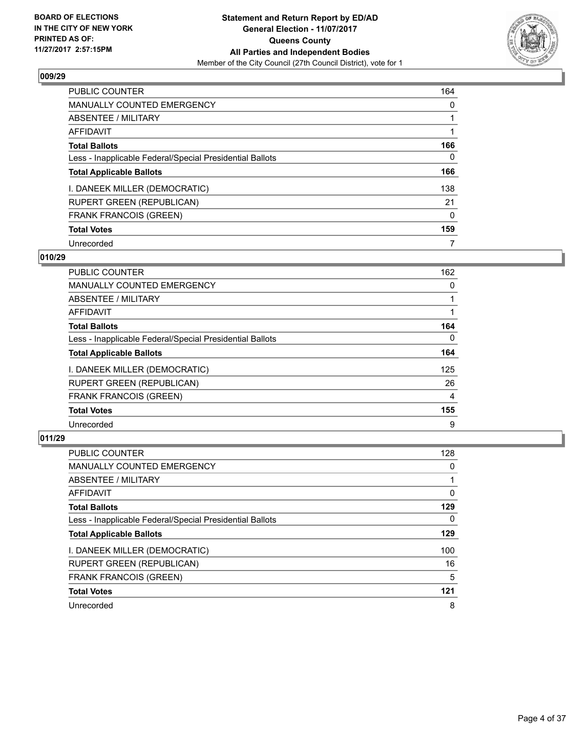

| <b>PUBLIC COUNTER</b>                                    | 164 |
|----------------------------------------------------------|-----|
| <b>MANUALLY COUNTED EMERGENCY</b>                        | 0   |
| ABSENTEE / MILITARY                                      |     |
| <b>AFFIDAVIT</b>                                         |     |
| <b>Total Ballots</b>                                     | 166 |
| Less - Inapplicable Federal/Special Presidential Ballots | 0   |
| <b>Total Applicable Ballots</b>                          | 166 |
| I. DANEEK MILLER (DEMOCRATIC)                            | 138 |
| <b>RUPERT GREEN (REPUBLICAN)</b>                         | 21  |
| <b>FRANK FRANCOIS (GREEN)</b>                            | 0   |
| <b>Total Votes</b>                                       | 159 |
| Unrecorded                                               | 7   |

#### **010/29**

| <b>PUBLIC COUNTER</b>                                    | 162      |
|----------------------------------------------------------|----------|
| <b>MANUALLY COUNTED EMERGENCY</b>                        | 0        |
| ABSENTEE / MILITARY                                      |          |
| <b>AFFIDAVIT</b>                                         |          |
| <b>Total Ballots</b>                                     | 164      |
| Less - Inapplicable Federal/Special Presidential Ballots | $\Omega$ |
| <b>Total Applicable Ballots</b>                          | 164      |
| I. DANEEK MILLER (DEMOCRATIC)                            | 125      |
| <b>RUPERT GREEN (REPUBLICAN)</b>                         | 26       |
| <b>FRANK FRANCOIS (GREEN)</b>                            | 4        |
| <b>Total Votes</b>                                       | 155      |
| Unrecorded                                               | 9        |

| <b>PUBLIC COUNTER</b>                                    | 128 |
|----------------------------------------------------------|-----|
| <b>MANUALLY COUNTED EMERGENCY</b>                        | 0   |
| ABSENTEE / MILITARY                                      |     |
| AFFIDAVIT                                                | 0   |
| <b>Total Ballots</b>                                     | 129 |
| Less - Inapplicable Federal/Special Presidential Ballots | 0   |
| <b>Total Applicable Ballots</b>                          | 129 |
| I. DANEEK MILLER (DEMOCRATIC)                            | 100 |
| <b>RUPERT GREEN (REPUBLICAN)</b>                         | 16  |
| <b>FRANK FRANCOIS (GREEN)</b>                            | 5   |
| <b>Total Votes</b>                                       | 121 |
| Unrecorded                                               | 8   |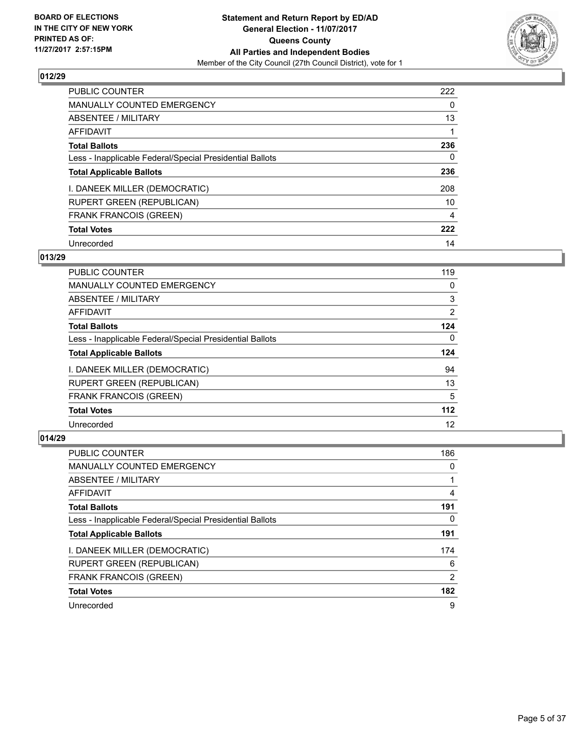

| <b>PUBLIC COUNTER</b>                                    | 222 |
|----------------------------------------------------------|-----|
| <b>MANUALLY COUNTED EMERGENCY</b>                        | 0   |
| ABSENTEE / MILITARY                                      | 13  |
| <b>AFFIDAVIT</b>                                         |     |
| <b>Total Ballots</b>                                     | 236 |
| Less - Inapplicable Federal/Special Presidential Ballots | 0   |
| <b>Total Applicable Ballots</b>                          | 236 |
| I. DANEEK MILLER (DEMOCRATIC)                            | 208 |
| <b>RUPERT GREEN (REPUBLICAN)</b>                         | 10  |
| <b>FRANK FRANCOIS (GREEN)</b>                            | 4   |
| <b>Total Votes</b>                                       | 222 |
| Unrecorded                                               | 14  |

# **013/29**

| <b>PUBLIC COUNTER</b>                                    | 119            |
|----------------------------------------------------------|----------------|
| <b>MANUALLY COUNTED EMERGENCY</b>                        | 0              |
| ABSENTEE / MILITARY                                      | 3              |
| <b>AFFIDAVIT</b>                                         | $\overline{2}$ |
| <b>Total Ballots</b>                                     | 124            |
| Less - Inapplicable Federal/Special Presidential Ballots | $\Omega$       |
| <b>Total Applicable Ballots</b>                          | 124            |
| I. DANEEK MILLER (DEMOCRATIC)                            | 94             |
| <b>RUPERT GREEN (REPUBLICAN)</b>                         | 13             |
| <b>FRANK FRANCOIS (GREEN)</b>                            | 5              |
| <b>Total Votes</b>                                       | $112$          |
| Unrecorded                                               | 12             |

| <b>PUBLIC COUNTER</b>                                    | 186 |
|----------------------------------------------------------|-----|
| <b>MANUALLY COUNTED EMERGENCY</b>                        | 0   |
| ABSENTEE / MILITARY                                      |     |
| AFFIDAVIT                                                | 4   |
| <b>Total Ballots</b>                                     | 191 |
| Less - Inapplicable Federal/Special Presidential Ballots | 0   |
| <b>Total Applicable Ballots</b>                          | 191 |
| I. DANEEK MILLER (DEMOCRATIC)                            | 174 |
| <b>RUPERT GREEN (REPUBLICAN)</b>                         | 6   |
| <b>FRANK FRANCOIS (GREEN)</b>                            | 2   |
| <b>Total Votes</b>                                       | 182 |
| Unrecorded                                               | 9   |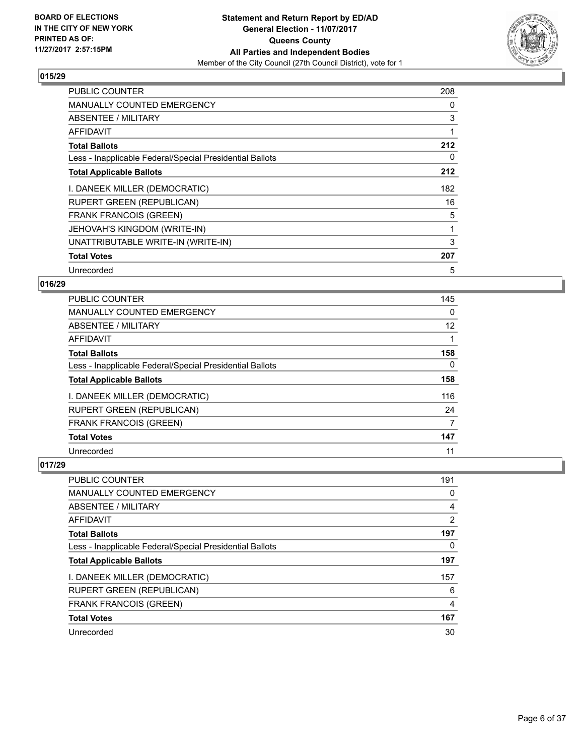

| <b>PUBLIC COUNTER</b>                                    | 208 |
|----------------------------------------------------------|-----|
| <b>MANUALLY COUNTED EMERGENCY</b>                        | 0   |
| ABSENTEE / MILITARY                                      | 3   |
| AFFIDAVIT                                                | 1   |
| <b>Total Ballots</b>                                     | 212 |
| Less - Inapplicable Federal/Special Presidential Ballots | 0   |
| <b>Total Applicable Ballots</b>                          | 212 |
| I. DANEEK MILLER (DEMOCRATIC)                            | 182 |
|                                                          |     |
| RUPERT GREEN (REPUBLICAN)                                | 16  |
| <b>FRANK FRANCOIS (GREEN)</b>                            | 5   |
| JEHOVAH'S KINGDOM (WRITE-IN)                             |     |
| UNATTRIBUTABLE WRITE-IN (WRITE-IN)                       | 3   |
| <b>Total Votes</b>                                       | 207 |

# **016/29**

| <b>PUBLIC COUNTER</b>                                    | 145 |
|----------------------------------------------------------|-----|
| <b>MANUALLY COUNTED EMERGENCY</b>                        | 0   |
| ABSENTEE / MILITARY                                      | 12  |
| AFFIDAVIT                                                |     |
| <b>Total Ballots</b>                                     | 158 |
| Less - Inapplicable Federal/Special Presidential Ballots | 0   |
| <b>Total Applicable Ballots</b>                          | 158 |
| I. DANEEK MILLER (DEMOCRATIC)                            | 116 |
| <b>RUPERT GREEN (REPUBLICAN)</b>                         | 24  |
| <b>FRANK FRANCOIS (GREEN)</b>                            | 7   |
| <b>Total Votes</b>                                       | 147 |
| Unrecorded                                               | 11  |

| PUBLIC COUNTER                                           | 191 |
|----------------------------------------------------------|-----|
| <b>MANUALLY COUNTED EMERGENCY</b>                        | 0   |
| ABSENTEE / MILITARY                                      | 4   |
| AFFIDAVIT                                                | 2   |
| <b>Total Ballots</b>                                     | 197 |
| Less - Inapplicable Federal/Special Presidential Ballots | 0   |
| <b>Total Applicable Ballots</b>                          | 197 |
| I. DANEEK MILLER (DEMOCRATIC)                            | 157 |
| <b>RUPERT GREEN (REPUBLICAN)</b>                         | 6   |
| <b>FRANK FRANCOIS (GREEN)</b>                            | 4   |
| <b>Total Votes</b>                                       | 167 |
| Unrecorded                                               | 30  |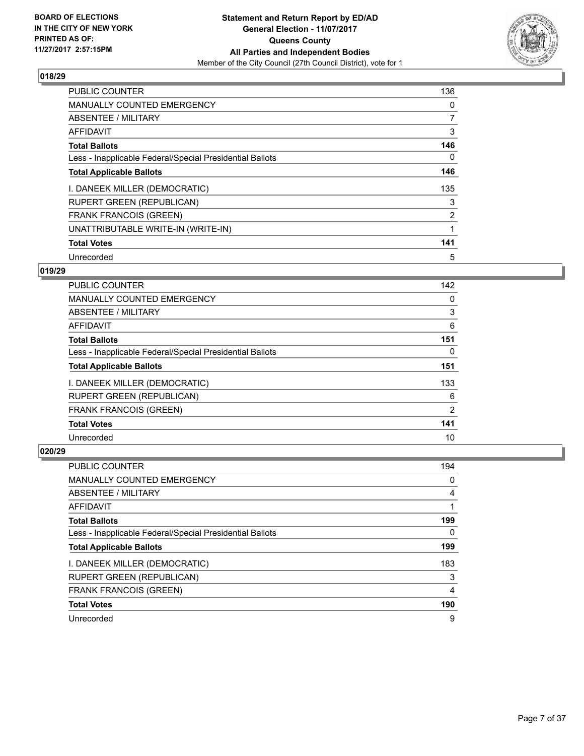

| <b>PUBLIC COUNTER</b>                                    | 136            |
|----------------------------------------------------------|----------------|
| <b>MANUALLY COUNTED EMERGENCY</b>                        | 0              |
| ABSENTEE / MILITARY                                      | $\overline{7}$ |
| <b>AFFIDAVIT</b>                                         | 3              |
| <b>Total Ballots</b>                                     | 146            |
| Less - Inapplicable Federal/Special Presidential Ballots | 0              |
| <b>Total Applicable Ballots</b>                          | 146            |
| I. DANEEK MILLER (DEMOCRATIC)                            | 135            |
| <b>RUPERT GREEN (REPUBLICAN)</b>                         | 3              |
| <b>FRANK FRANCOIS (GREEN)</b>                            | $\overline{2}$ |
| UNATTRIBUTABLE WRITE-IN (WRITE-IN)                       |                |
| <b>Total Votes</b>                                       | 141            |
| Unrecorded                                               | 5              |

# **019/29**

| <b>PUBLIC COUNTER</b>                                    | 142 |
|----------------------------------------------------------|-----|
| <b>MANUALLY COUNTED EMERGENCY</b>                        | 0   |
| ABSENTEE / MILITARY                                      | 3   |
| AFFIDAVIT                                                | 6   |
| <b>Total Ballots</b>                                     | 151 |
| Less - Inapplicable Federal/Special Presidential Ballots | 0   |
| <b>Total Applicable Ballots</b>                          | 151 |
| I. DANEEK MILLER (DEMOCRATIC)                            | 133 |
| <b>RUPERT GREEN (REPUBLICAN)</b>                         | 6   |
| <b>FRANK FRANCOIS (GREEN)</b>                            | 2   |
| <b>Total Votes</b>                                       | 141 |
| Unrecorded                                               | 10  |

| PUBLIC COUNTER                                           | 194 |
|----------------------------------------------------------|-----|
| <b>MANUALLY COUNTED EMERGENCY</b>                        | 0   |
| ABSENTEE / MILITARY                                      | 4   |
| AFFIDAVIT                                                |     |
| <b>Total Ballots</b>                                     | 199 |
| Less - Inapplicable Federal/Special Presidential Ballots | 0   |
| <b>Total Applicable Ballots</b>                          | 199 |
| I. DANEEK MILLER (DEMOCRATIC)                            | 183 |
| <b>RUPERT GREEN (REPUBLICAN)</b>                         | 3   |
| <b>FRANK FRANCOIS (GREEN)</b>                            | 4   |
| <b>Total Votes</b>                                       | 190 |
| Unrecorded                                               | 9   |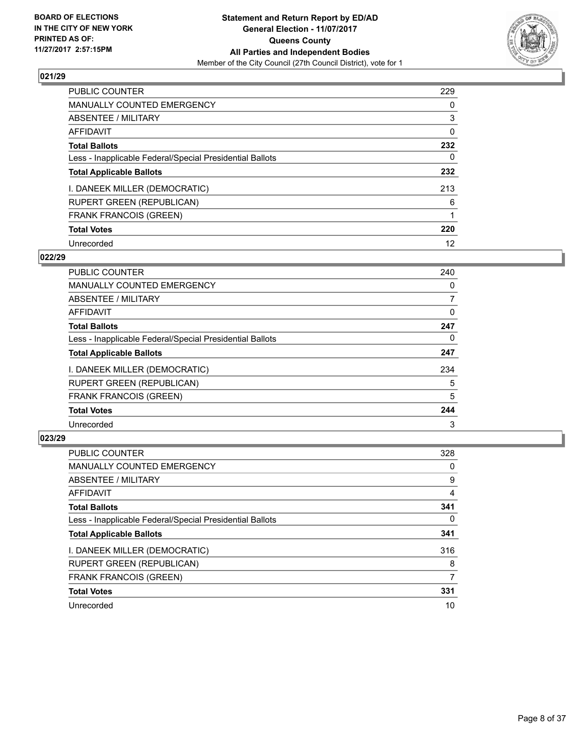

| <b>PUBLIC COUNTER</b>                                    | 229 |
|----------------------------------------------------------|-----|
| <b>MANUALLY COUNTED EMERGENCY</b>                        | 0   |
| ABSENTEE / MILITARY                                      | 3   |
| AFFIDAVIT                                                | 0   |
| <b>Total Ballots</b>                                     | 232 |
| Less - Inapplicable Federal/Special Presidential Ballots | 0   |
| <b>Total Applicable Ballots</b>                          | 232 |
| I. DANEEK MILLER (DEMOCRATIC)                            | 213 |
| <b>RUPERT GREEN (REPUBLICAN)</b>                         | 6   |
| <b>FRANK FRANCOIS (GREEN)</b>                            |     |
| <b>Total Votes</b>                                       | 220 |
| Unrecorded                                               | 12  |

#### **022/29**

| <b>PUBLIC COUNTER</b>                                    | 240 |
|----------------------------------------------------------|-----|
| <b>MANUALLY COUNTED EMERGENCY</b>                        | 0   |
| ABSENTEE / MILITARY                                      | 7   |
| <b>AFFIDAVIT</b>                                         | 0   |
| <b>Total Ballots</b>                                     | 247 |
| Less - Inapplicable Federal/Special Presidential Ballots | 0   |
| <b>Total Applicable Ballots</b>                          | 247 |
| I. DANEEK MILLER (DEMOCRATIC)                            | 234 |
| <b>RUPERT GREEN (REPUBLICAN)</b>                         | 5   |
| <b>FRANK FRANCOIS (GREEN)</b>                            | 5   |
| <b>Total Votes</b>                                       | 244 |
| Unrecorded                                               | 3   |

| <b>PUBLIC COUNTER</b>                                    | 328 |
|----------------------------------------------------------|-----|
| <b>MANUALLY COUNTED EMERGENCY</b>                        | 0   |
| ABSENTEE / MILITARY                                      | 9   |
| <b>AFFIDAVIT</b>                                         | 4   |
| <b>Total Ballots</b>                                     | 341 |
| Less - Inapplicable Federal/Special Presidential Ballots | 0   |
| <b>Total Applicable Ballots</b>                          | 341 |
| I. DANEEK MILLER (DEMOCRATIC)                            | 316 |
| <b>RUPERT GREEN (REPUBLICAN)</b>                         | 8   |
| <b>FRANK FRANCOIS (GREEN)</b>                            | 7   |
| <b>Total Votes</b>                                       | 331 |
| Unrecorded                                               | 10  |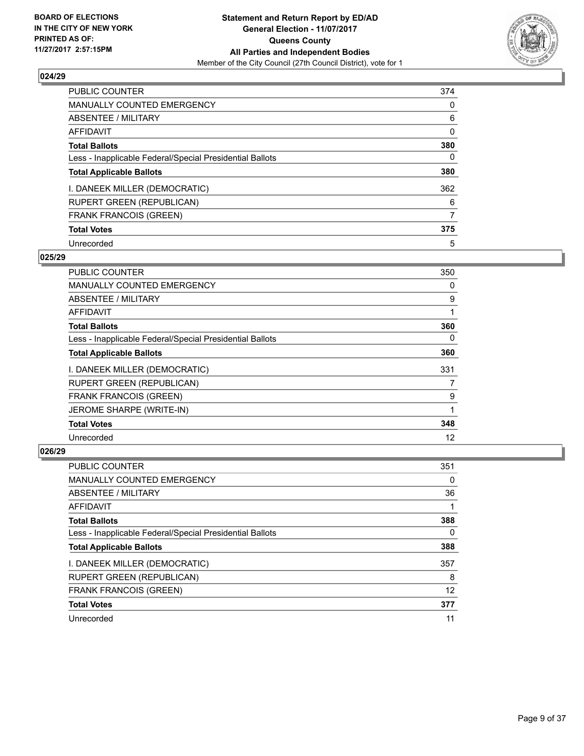

| <b>PUBLIC COUNTER</b>                                    | 374 |
|----------------------------------------------------------|-----|
| MANUALLY COUNTED EMERGENCY                               | 0   |
| ABSENTEE / MILITARY                                      | 6   |
| <b>AFFIDAVIT</b>                                         | 0   |
| <b>Total Ballots</b>                                     | 380 |
| Less - Inapplicable Federal/Special Presidential Ballots | 0   |
| <b>Total Applicable Ballots</b>                          | 380 |
| I. DANEEK MILLER (DEMOCRATIC)                            | 362 |
| <b>RUPERT GREEN (REPUBLICAN)</b>                         | 6   |
| <b>FRANK FRANCOIS (GREEN)</b>                            | 7   |
| <b>Total Votes</b>                                       | 375 |
| Unrecorded                                               | 5   |

#### **025/29**

| <b>PUBLIC COUNTER</b>                                    | 350 |
|----------------------------------------------------------|-----|
| <b>MANUALLY COUNTED EMERGENCY</b>                        | 0   |
| ABSENTEE / MILITARY                                      | 9   |
| AFFIDAVIT                                                |     |
| <b>Total Ballots</b>                                     | 360 |
| Less - Inapplicable Federal/Special Presidential Ballots | 0   |
| <b>Total Applicable Ballots</b>                          | 360 |
| I. DANEEK MILLER (DEMOCRATIC)                            | 331 |
| <b>RUPERT GREEN (REPUBLICAN)</b>                         | 7   |
| <b>FRANK FRANCOIS (GREEN)</b>                            | 9   |
| JEROME SHARPE (WRITE-IN)                                 | 1   |
| <b>Total Votes</b>                                       | 348 |
| Unrecorded                                               | 12  |

| <b>PUBLIC COUNTER</b>                                    | 351 |
|----------------------------------------------------------|-----|
| <b>MANUALLY COUNTED EMERGENCY</b>                        | 0   |
| ABSENTEE / MILITARY                                      | 36  |
| AFFIDAVIT                                                |     |
| <b>Total Ballots</b>                                     | 388 |
| Less - Inapplicable Federal/Special Presidential Ballots | 0   |
| <b>Total Applicable Ballots</b>                          | 388 |
| I. DANEEK MILLER (DEMOCRATIC)                            | 357 |
| <b>RUPERT GREEN (REPUBLICAN)</b>                         | 8   |
| <b>FRANK FRANCOIS (GREEN)</b>                            | 12  |
| <b>Total Votes</b>                                       | 377 |
| Unrecorded                                               | 11  |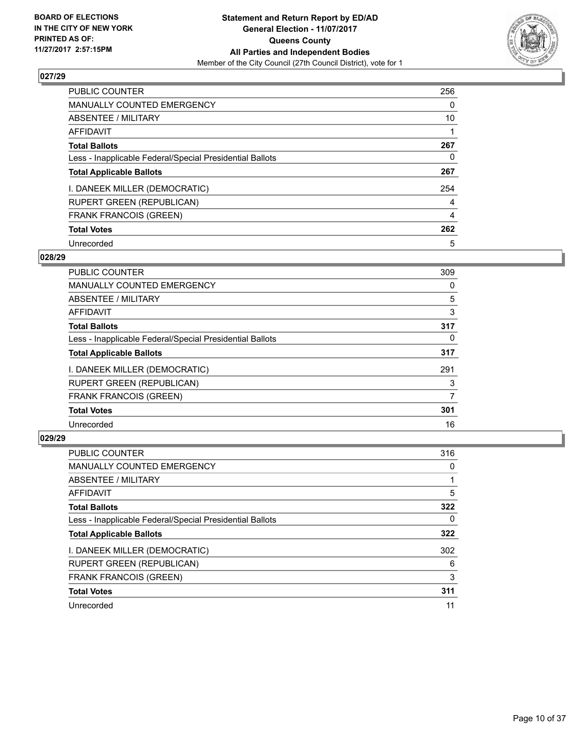

| <b>PUBLIC COUNTER</b>                                    | 256 |
|----------------------------------------------------------|-----|
| <b>MANUALLY COUNTED EMERGENCY</b>                        | 0   |
| ABSENTEE / MILITARY                                      | 10  |
| AFFIDAVIT                                                |     |
| <b>Total Ballots</b>                                     | 267 |
| Less - Inapplicable Federal/Special Presidential Ballots | 0   |
| <b>Total Applicable Ballots</b>                          | 267 |
| I. DANEEK MILLER (DEMOCRATIC)                            | 254 |
| <b>RUPERT GREEN (REPUBLICAN)</b>                         | 4   |
| <b>FRANK FRANCOIS (GREEN)</b>                            | 4   |
| <b>Total Votes</b>                                       | 262 |
| Unrecorded                                               | 5   |

#### **028/29**

| <b>PUBLIC COUNTER</b>                                    | 309 |
|----------------------------------------------------------|-----|
| <b>MANUALLY COUNTED EMERGENCY</b>                        | 0   |
| ABSENTEE / MILITARY                                      | 5   |
| <b>AFFIDAVIT</b>                                         | 3   |
| <b>Total Ballots</b>                                     | 317 |
| Less - Inapplicable Federal/Special Presidential Ballots | 0   |
| <b>Total Applicable Ballots</b>                          | 317 |
| I. DANEEK MILLER (DEMOCRATIC)                            | 291 |
| RUPERT GREEN (REPUBLICAN)                                | 3   |
| <b>FRANK FRANCOIS (GREEN)</b>                            | 7   |
| <b>Total Votes</b>                                       | 301 |
| Unrecorded                                               | 16  |

| <b>PUBLIC COUNTER</b>                                    | 316 |
|----------------------------------------------------------|-----|
| <b>MANUALLY COUNTED EMERGENCY</b>                        | 0   |
| ABSENTEE / MILITARY                                      |     |
| AFFIDAVIT                                                | 5   |
| <b>Total Ballots</b>                                     | 322 |
| Less - Inapplicable Federal/Special Presidential Ballots | 0   |
| <b>Total Applicable Ballots</b>                          | 322 |
| I. DANEEK MILLER (DEMOCRATIC)                            | 302 |
| <b>RUPERT GREEN (REPUBLICAN)</b>                         | 6   |
| <b>FRANK FRANCOIS (GREEN)</b>                            | 3   |
| <b>Total Votes</b>                                       | 311 |
| Unrecorded                                               | 11  |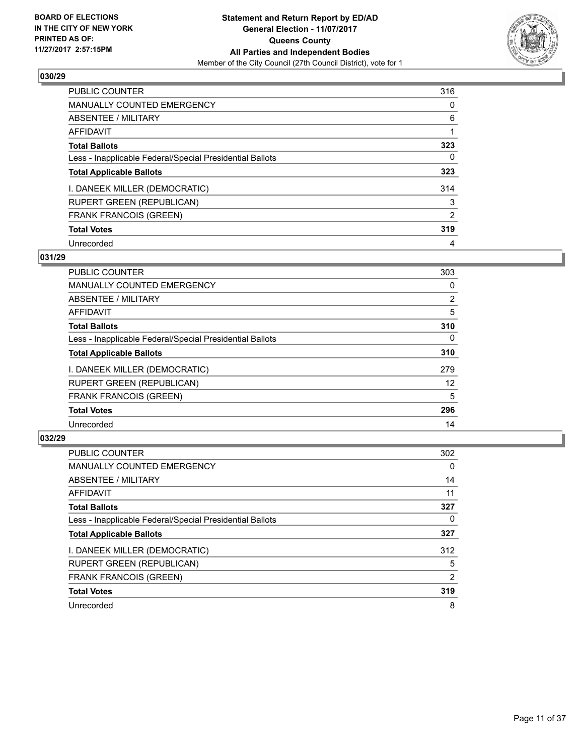

| <b>PUBLIC COUNTER</b>                                    | 316 |
|----------------------------------------------------------|-----|
| <b>MANUALLY COUNTED EMERGENCY</b>                        | 0   |
| ABSENTEE / MILITARY                                      | 6   |
| AFFIDAVIT                                                |     |
| <b>Total Ballots</b>                                     | 323 |
| Less - Inapplicable Federal/Special Presidential Ballots | 0   |
| <b>Total Applicable Ballots</b>                          | 323 |
| I. DANEEK MILLER (DEMOCRATIC)                            | 314 |
| <b>RUPERT GREEN (REPUBLICAN)</b>                         | 3   |
| <b>FRANK FRANCOIS (GREEN)</b>                            | 2   |
| <b>Total Votes</b>                                       | 319 |
| Unrecorded                                               | 4   |

#### **031/29**

| <b>PUBLIC COUNTER</b>                                    | 303      |
|----------------------------------------------------------|----------|
| <b>MANUALLY COUNTED EMERGENCY</b>                        | 0        |
| ABSENTEE / MILITARY                                      | 2        |
| <b>AFFIDAVIT</b>                                         | 5        |
| <b>Total Ballots</b>                                     | 310      |
| Less - Inapplicable Federal/Special Presidential Ballots | $\Omega$ |
| <b>Total Applicable Ballots</b>                          | 310      |
| I. DANEEK MILLER (DEMOCRATIC)                            | 279      |
| <b>RUPERT GREEN (REPUBLICAN)</b>                         | 12       |
| <b>FRANK FRANCOIS (GREEN)</b>                            | 5        |
| <b>Total Votes</b>                                       | 296      |
| Unrecorded                                               | 14       |

| <b>PUBLIC COUNTER</b>                                    | 302      |
|----------------------------------------------------------|----------|
| <b>MANUALLY COUNTED EMERGENCY</b>                        | $\Omega$ |
| ABSENTEE / MILITARY                                      | 14       |
| AFFIDAVIT                                                | 11       |
| <b>Total Ballots</b>                                     | 327      |
| Less - Inapplicable Federal/Special Presidential Ballots | 0        |
| <b>Total Applicable Ballots</b>                          | 327      |
| I. DANEEK MILLER (DEMOCRATIC)                            | 312      |
| <b>RUPERT GREEN (REPUBLICAN)</b>                         | 5        |
| <b>FRANK FRANCOIS (GREEN)</b>                            | 2        |
| <b>Total Votes</b>                                       | 319      |
| Unrecorded                                               | 8        |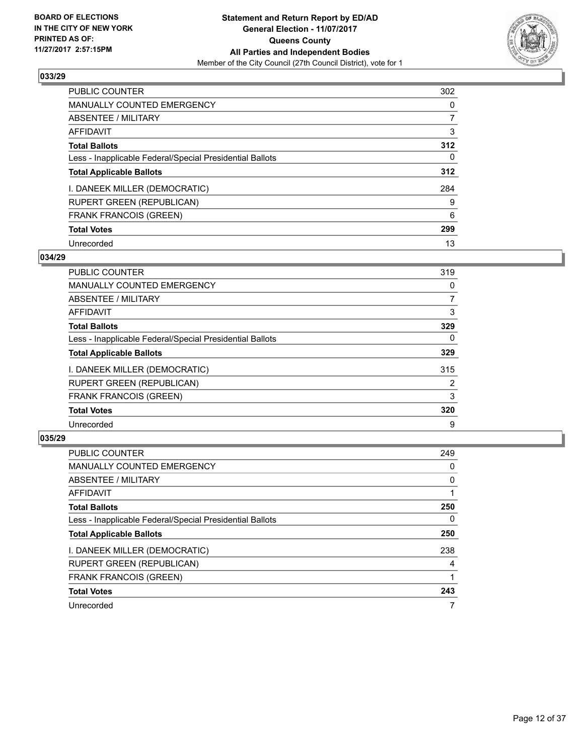

| <b>PUBLIC COUNTER</b>                                    | 302 |
|----------------------------------------------------------|-----|
| <b>MANUALLY COUNTED EMERGENCY</b>                        | 0   |
| ABSENTEE / MILITARY                                      |     |
| AFFIDAVIT                                                | 3   |
| <b>Total Ballots</b>                                     | 312 |
| Less - Inapplicable Federal/Special Presidential Ballots | 0   |
| <b>Total Applicable Ballots</b>                          | 312 |
| I. DANEEK MILLER (DEMOCRATIC)                            | 284 |
| <b>RUPERT GREEN (REPUBLICAN)</b>                         | 9   |
| <b>FRANK FRANCOIS (GREEN)</b>                            | 6   |
| <b>Total Votes</b>                                       | 299 |
| Unrecorded                                               | 13  |

#### **034/29**

| <b>PUBLIC COUNTER</b>                                    | 319      |
|----------------------------------------------------------|----------|
| <b>MANUALLY COUNTED EMERGENCY</b>                        | 0        |
| ABSENTEE / MILITARY                                      | 7        |
| <b>AFFIDAVIT</b>                                         | 3        |
| <b>Total Ballots</b>                                     | 329      |
| Less - Inapplicable Federal/Special Presidential Ballots | $\Omega$ |
| <b>Total Applicable Ballots</b>                          | 329      |
| I. DANEEK MILLER (DEMOCRATIC)                            | 315      |
| <b>RUPERT GREEN (REPUBLICAN)</b>                         | 2        |
| <b>FRANK FRANCOIS (GREEN)</b>                            | 3        |
| <b>Total Votes</b>                                       | 320      |
| Unrecorded                                               | 9        |

| <b>PUBLIC COUNTER</b>                                    | 249 |
|----------------------------------------------------------|-----|
| <b>MANUALLY COUNTED EMERGENCY</b>                        | 0   |
| ABSENTEE / MILITARY                                      | 0   |
| AFFIDAVIT                                                |     |
| <b>Total Ballots</b>                                     | 250 |
| Less - Inapplicable Federal/Special Presidential Ballots | 0   |
| <b>Total Applicable Ballots</b>                          | 250 |
| I. DANEEK MILLER (DEMOCRATIC)                            | 238 |
| <b>RUPERT GREEN (REPUBLICAN)</b>                         | 4   |
| <b>FRANK FRANCOIS (GREEN)</b>                            |     |
| <b>Total Votes</b>                                       | 243 |
| Unrecorded                                               |     |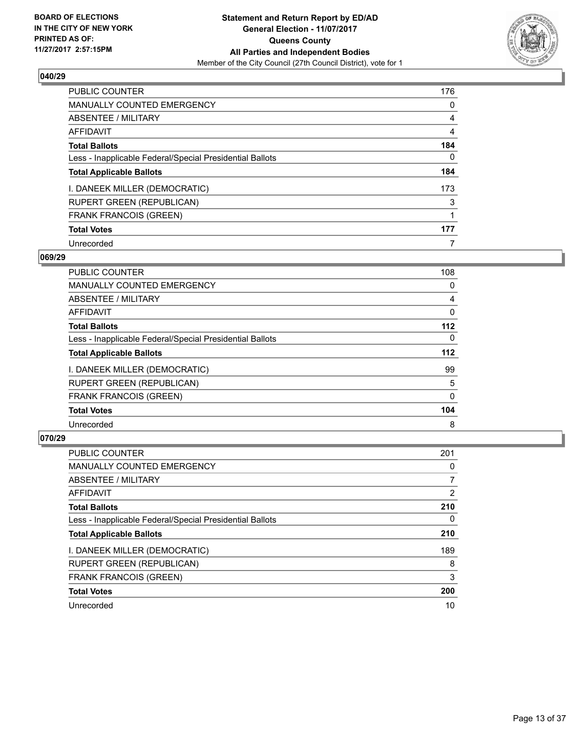

| <b>PUBLIC COUNTER</b>                                    | 176 |
|----------------------------------------------------------|-----|
| <b>MANUALLY COUNTED EMERGENCY</b>                        | 0   |
| ABSENTEE / MILITARY                                      | 4   |
| <b>AFFIDAVIT</b>                                         | 4   |
| <b>Total Ballots</b>                                     | 184 |
| Less - Inapplicable Federal/Special Presidential Ballots | 0   |
| <b>Total Applicable Ballots</b>                          | 184 |
| I. DANEEK MILLER (DEMOCRATIC)                            | 173 |
| <b>RUPERT GREEN (REPUBLICAN)</b>                         | 3   |
| <b>FRANK FRANCOIS (GREEN)</b>                            | 1   |
| <b>Total Votes</b>                                       | 177 |
| Unrecorded                                               |     |

#### **069/29**

| <b>PUBLIC COUNTER</b>                                    | 108      |
|----------------------------------------------------------|----------|
| <b>MANUALLY COUNTED EMERGENCY</b>                        | 0        |
| ABSENTEE / MILITARY                                      | 4        |
| <b>AFFIDAVIT</b>                                         | $\Omega$ |
| <b>Total Ballots</b>                                     | $112$    |
| Less - Inapplicable Federal/Special Presidential Ballots | $\Omega$ |
| <b>Total Applicable Ballots</b>                          | $112$    |
| I. DANEEK MILLER (DEMOCRATIC)                            | 99       |
| RUPERT GREEN (REPUBLICAN)                                | 5        |
| <b>FRANK FRANCOIS (GREEN)</b>                            | 0        |
| <b>Total Votes</b>                                       | 104      |
| Unrecorded                                               | 8        |

| <b>PUBLIC COUNTER</b>                                    | 201            |
|----------------------------------------------------------|----------------|
| <b>MANUALLY COUNTED EMERGENCY</b>                        | 0              |
| ABSENTEE / MILITARY                                      | $\overline{7}$ |
| AFFIDAVIT                                                | 2              |
| <b>Total Ballots</b>                                     | 210            |
| Less - Inapplicable Federal/Special Presidential Ballots | 0              |
| <b>Total Applicable Ballots</b>                          | 210            |
| I. DANEEK MILLER (DEMOCRATIC)                            | 189            |
| <b>RUPERT GREEN (REPUBLICAN)</b>                         | 8              |
| <b>FRANK FRANCOIS (GREEN)</b>                            | 3              |
| <b>Total Votes</b>                                       | 200            |
| Unrecorded                                               | 10             |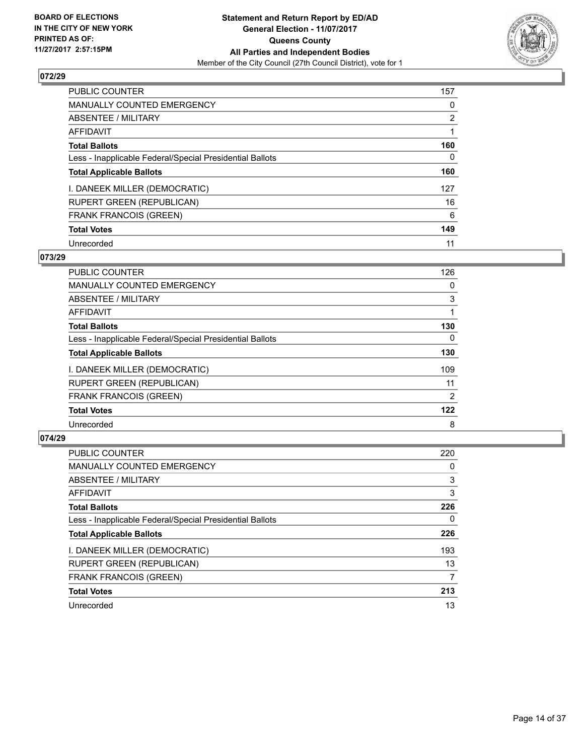

| <b>PUBLIC COUNTER</b>                                    | 157            |
|----------------------------------------------------------|----------------|
| <b>MANUALLY COUNTED EMERGENCY</b>                        | 0              |
| ABSENTEE / MILITARY                                      | $\overline{2}$ |
| <b>AFFIDAVIT</b>                                         |                |
| <b>Total Ballots</b>                                     | 160            |
| Less - Inapplicable Federal/Special Presidential Ballots | 0              |
| <b>Total Applicable Ballots</b>                          | 160            |
| I. DANEEK MILLER (DEMOCRATIC)                            | 127            |
| <b>RUPERT GREEN (REPUBLICAN)</b>                         | 16             |
| <b>FRANK FRANCOIS (GREEN)</b>                            | 6              |
| <b>Total Votes</b>                                       | 149            |
| Unrecorded                                               | 11             |

#### **073/29**

| <b>PUBLIC COUNTER</b>                                    | 126 |
|----------------------------------------------------------|-----|
| MANUALLY COUNTED EMERGENCY                               | 0   |
| ABSENTEE / MILITARY                                      | 3   |
| <b>AFFIDAVIT</b>                                         |     |
| <b>Total Ballots</b>                                     | 130 |
| Less - Inapplicable Federal/Special Presidential Ballots | 0   |
| <b>Total Applicable Ballots</b>                          | 130 |
| I. DANEEK MILLER (DEMOCRATIC)                            | 109 |
| <b>RUPERT GREEN (REPUBLICAN)</b>                         | 11  |
| <b>FRANK FRANCOIS (GREEN)</b>                            | 2   |
| <b>Total Votes</b>                                       | 122 |
| Unrecorded                                               | 8   |

| <b>PUBLIC COUNTER</b>                                    | 220 |
|----------------------------------------------------------|-----|
| <b>MANUALLY COUNTED EMERGENCY</b>                        | 0   |
| ABSENTEE / MILITARY                                      | 3   |
| AFFIDAVIT                                                | 3   |
| <b>Total Ballots</b>                                     | 226 |
| Less - Inapplicable Federal/Special Presidential Ballots | 0   |
| <b>Total Applicable Ballots</b>                          | 226 |
| I. DANEEK MILLER (DEMOCRATIC)                            | 193 |
| <b>RUPERT GREEN (REPUBLICAN)</b>                         | 13  |
| <b>FRANK FRANCOIS (GREEN)</b>                            | 7   |
| <b>Total Votes</b>                                       | 213 |
| Unrecorded                                               | 13  |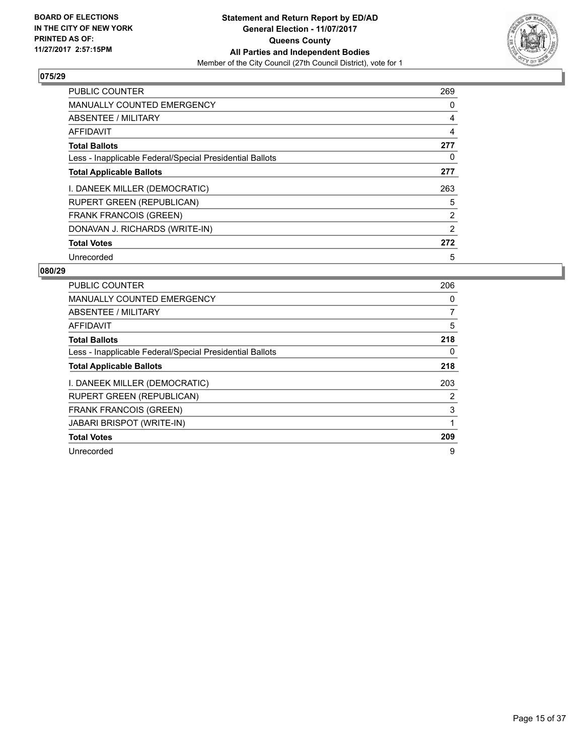

| <b>PUBLIC COUNTER</b>                                    | 269            |
|----------------------------------------------------------|----------------|
| <b>MANUALLY COUNTED EMERGENCY</b>                        | 0              |
| ABSENTEE / MILITARY                                      | 4              |
| <b>AFFIDAVIT</b>                                         | 4              |
| <b>Total Ballots</b>                                     | 277            |
| Less - Inapplicable Federal/Special Presidential Ballots | 0              |
| <b>Total Applicable Ballots</b>                          | 277            |
| I. DANEEK MILLER (DEMOCRATIC)                            | 263            |
| <b>RUPERT GREEN (REPUBLICAN)</b>                         | 5              |
| <b>FRANK FRANCOIS (GREEN)</b>                            | $\overline{2}$ |
| DONAVAN J. RICHARDS (WRITE-IN)                           | 2              |
| <b>Total Votes</b>                                       | 272            |
| Unrecorded                                               | 5              |

| <b>PUBLIC COUNTER</b>                                    | 206 |
|----------------------------------------------------------|-----|
| <b>MANUALLY COUNTED EMERGENCY</b>                        | 0   |
| ABSENTEE / MILITARY                                      | 7   |
| <b>AFFIDAVIT</b>                                         | 5   |
| <b>Total Ballots</b>                                     | 218 |
| Less - Inapplicable Federal/Special Presidential Ballots | 0   |
| <b>Total Applicable Ballots</b>                          | 218 |
| I. DANEEK MILLER (DEMOCRATIC)                            | 203 |
| <b>RUPERT GREEN (REPUBLICAN)</b>                         | 2   |
| <b>FRANK FRANCOIS (GREEN)</b>                            | 3   |
| <b>JABARI BRISPOT (WRITE-IN)</b>                         |     |
| <b>Total Votes</b>                                       | 209 |
| Unrecorded                                               | 9   |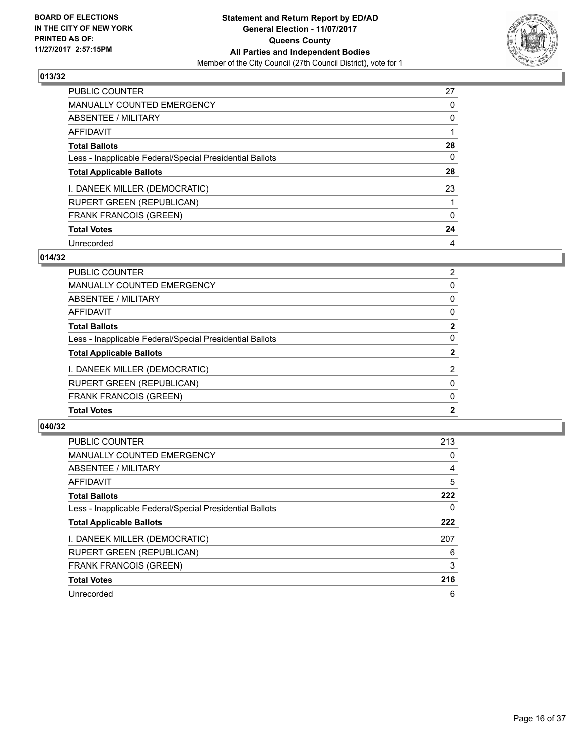

| <b>PUBLIC COUNTER</b>                                    | 27 |
|----------------------------------------------------------|----|
| <b>MANUALLY COUNTED EMERGENCY</b>                        | 0  |
| ABSENTEE / MILITARY                                      | 0  |
| AFFIDAVIT                                                |    |
| <b>Total Ballots</b>                                     | 28 |
| Less - Inapplicable Federal/Special Presidential Ballots | 0  |
| <b>Total Applicable Ballots</b>                          | 28 |
| I. DANEEK MILLER (DEMOCRATIC)                            | 23 |
| <b>RUPERT GREEN (REPUBLICAN)</b>                         |    |
| <b>FRANK FRANCOIS (GREEN)</b>                            | 0  |
| <b>Total Votes</b>                                       | 24 |
| Unrecorded                                               | 4  |

#### **014/32**

| <b>PUBLIC COUNTER</b>                                    | $\overline{2}$ |
|----------------------------------------------------------|----------------|
| <b>MANUALLY COUNTED EMERGENCY</b>                        | 0              |
| <b>ABSENTEE / MILITARY</b>                               | 0              |
| AFFIDAVIT                                                | 0              |
| <b>Total Ballots</b>                                     | $\mathbf{2}$   |
| Less - Inapplicable Federal/Special Presidential Ballots | 0              |
| <b>Total Applicable Ballots</b>                          | $\overline{2}$ |
| I. DANEEK MILLER (DEMOCRATIC)                            | 2              |
| <b>RUPERT GREEN (REPUBLICAN)</b>                         | $\Omega$       |
| <b>FRANK FRANCOIS (GREEN)</b>                            | 0              |
| <b>Total Votes</b>                                       | $\mathbf{2}$   |

| <b>PUBLIC COUNTER</b>                                    | 213 |
|----------------------------------------------------------|-----|
| <b>MANUALLY COUNTED EMERGENCY</b>                        | 0   |
| ABSENTEE / MILITARY                                      | 4   |
| <b>AFFIDAVIT</b>                                         | 5   |
| <b>Total Ballots</b>                                     | 222 |
| Less - Inapplicable Federal/Special Presidential Ballots | 0   |
| <b>Total Applicable Ballots</b>                          | 222 |
| I. DANEEK MILLER (DEMOCRATIC)                            | 207 |
| <b>RUPERT GREEN (REPUBLICAN)</b>                         | 6   |
| FRANK FRANCOIS (GREEN)                                   | 3   |
| <b>Total Votes</b>                                       | 216 |
| Unrecorded                                               | 6   |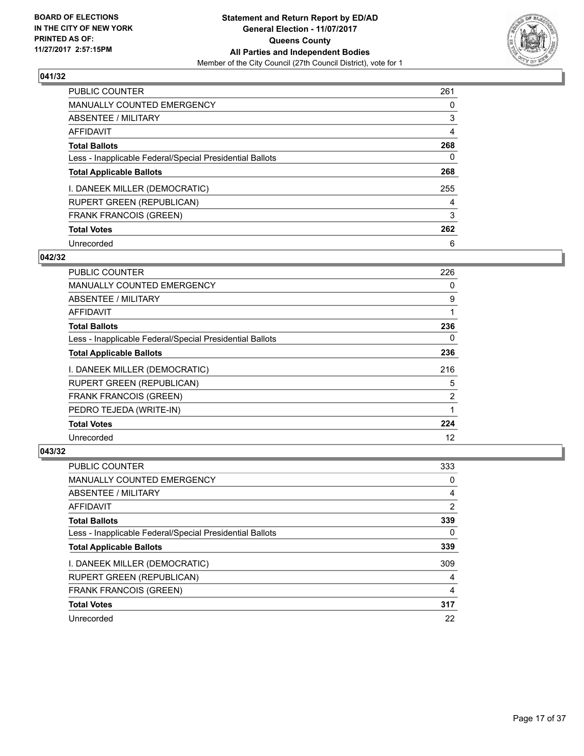

| <b>PUBLIC COUNTER</b>                                    | 261 |
|----------------------------------------------------------|-----|
| <b>MANUALLY COUNTED EMERGENCY</b>                        | 0   |
| ABSENTEE / MILITARY                                      | 3   |
| AFFIDAVIT                                                | 4   |
| <b>Total Ballots</b>                                     | 268 |
| Less - Inapplicable Federal/Special Presidential Ballots | 0   |
| <b>Total Applicable Ballots</b>                          | 268 |
| I. DANEEK MILLER (DEMOCRATIC)                            | 255 |
| <b>RUPERT GREEN (REPUBLICAN)</b>                         | 4   |
| <b>FRANK FRANCOIS (GREEN)</b>                            | 3   |
| <b>Total Votes</b>                                       | 262 |
| Unrecorded                                               | 6   |

#### **042/32**

| PUBLIC COUNTER                                           | 226 |
|----------------------------------------------------------|-----|
| <b>MANUALLY COUNTED EMERGENCY</b>                        | 0   |
| ABSENTEE / MILITARY                                      | 9   |
| <b>AFFIDAVIT</b>                                         |     |
| <b>Total Ballots</b>                                     | 236 |
| Less - Inapplicable Federal/Special Presidential Ballots | 0   |
| <b>Total Applicable Ballots</b>                          | 236 |
| I. DANEEK MILLER (DEMOCRATIC)                            | 216 |
| <b>RUPERT GREEN (REPUBLICAN)</b>                         | 5   |
| <b>FRANK FRANCOIS (GREEN)</b>                            | 2   |
| PEDRO TEJEDA (WRITE-IN)                                  | 1   |
| <b>Total Votes</b>                                       | 224 |
| Unrecorded                                               | 12  |

| <b>PUBLIC COUNTER</b>                                    | 333 |
|----------------------------------------------------------|-----|
| <b>MANUALLY COUNTED EMERGENCY</b>                        | 0   |
| ABSENTEE / MILITARY                                      | 4   |
| AFFIDAVIT                                                | 2   |
| <b>Total Ballots</b>                                     | 339 |
| Less - Inapplicable Federal/Special Presidential Ballots | 0   |
| <b>Total Applicable Ballots</b>                          | 339 |
| I. DANEEK MILLER (DEMOCRATIC)                            | 309 |
| <b>RUPERT GREEN (REPUBLICAN)</b>                         | 4   |
| <b>FRANK FRANCOIS (GREEN)</b>                            | 4   |
| <b>Total Votes</b>                                       | 317 |
| Unrecorded                                               | 22  |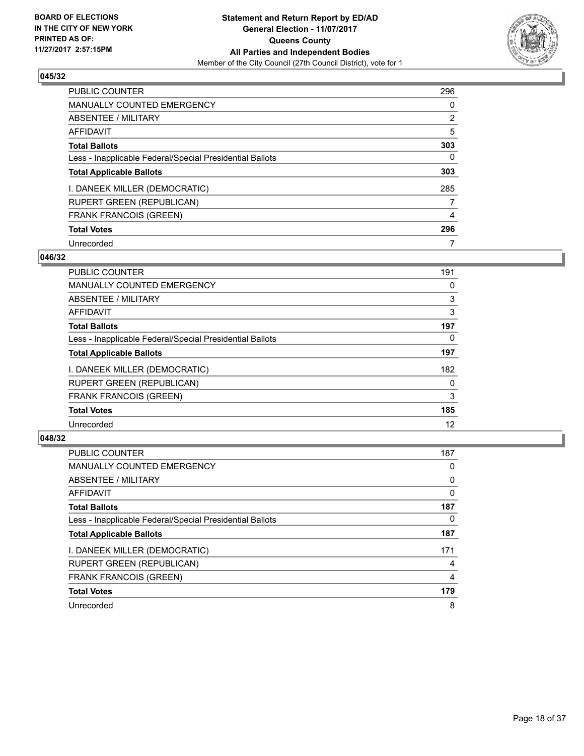

| <b>PUBLIC COUNTER</b>                                    | 296            |
|----------------------------------------------------------|----------------|
| <b>MANUALLY COUNTED EMERGENCY</b>                        | 0              |
| ABSENTEE / MILITARY                                      | $\overline{2}$ |
| AFFIDAVIT                                                | 5              |
| <b>Total Ballots</b>                                     | 303            |
| Less - Inapplicable Federal/Special Presidential Ballots | 0              |
| <b>Total Applicable Ballots</b>                          | 303            |
| I. DANEEK MILLER (DEMOCRATIC)                            | 285            |
| <b>RUPERT GREEN (REPUBLICAN)</b>                         | 7              |
| <b>FRANK FRANCOIS (GREEN)</b>                            | 4              |
| <b>Total Votes</b>                                       | 296            |
| Unrecorded                                               |                |

#### **046/32**

| <b>PUBLIC COUNTER</b>                                    | 191 |
|----------------------------------------------------------|-----|
| <b>MANUALLY COUNTED EMERGENCY</b>                        | 0   |
| ABSENTEE / MILITARY                                      | 3   |
| <b>AFFIDAVIT</b>                                         | 3   |
| <b>Total Ballots</b>                                     | 197 |
| Less - Inapplicable Federal/Special Presidential Ballots | 0   |
| <b>Total Applicable Ballots</b>                          | 197 |
| I. DANEEK MILLER (DEMOCRATIC)                            | 182 |
| <b>RUPERT GREEN (REPUBLICAN)</b>                         | 0   |
| <b>FRANK FRANCOIS (GREEN)</b>                            | 3   |
| <b>Total Votes</b>                                       | 185 |
| Unrecorded                                               | 12  |

| <b>PUBLIC COUNTER</b>                                    | 187 |
|----------------------------------------------------------|-----|
| <b>MANUALLY COUNTED EMERGENCY</b>                        | 0   |
| ABSENTEE / MILITARY                                      | 0   |
| AFFIDAVIT                                                | 0   |
| <b>Total Ballots</b>                                     | 187 |
| Less - Inapplicable Federal/Special Presidential Ballots | 0   |
| <b>Total Applicable Ballots</b>                          | 187 |
| I. DANEEK MILLER (DEMOCRATIC)                            | 171 |
| <b>RUPERT GREEN (REPUBLICAN)</b>                         | 4   |
| <b>FRANK FRANCOIS (GREEN)</b>                            | 4   |
| <b>Total Votes</b>                                       | 179 |
| Unrecorded                                               | 8   |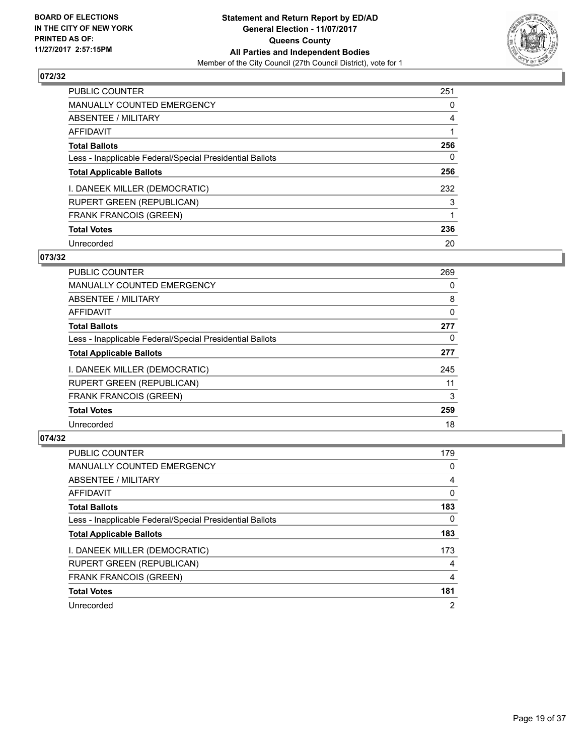

| <b>PUBLIC COUNTER</b>                                    | 251 |
|----------------------------------------------------------|-----|
| <b>MANUALLY COUNTED EMERGENCY</b>                        | 0   |
| ABSENTEE / MILITARY                                      | 4   |
| AFFIDAVIT                                                |     |
| <b>Total Ballots</b>                                     | 256 |
| Less - Inapplicable Federal/Special Presidential Ballots | 0   |
| <b>Total Applicable Ballots</b>                          | 256 |
| I. DANEEK MILLER (DEMOCRATIC)                            | 232 |
| <b>RUPERT GREEN (REPUBLICAN)</b>                         | 3   |
| <b>FRANK FRANCOIS (GREEN)</b>                            |     |
| <b>Total Votes</b>                                       | 236 |
| Unrecorded                                               | 20  |

#### **073/32**

| <b>PUBLIC COUNTER</b>                                    | 269      |
|----------------------------------------------------------|----------|
| <b>MANUALLY COUNTED EMERGENCY</b>                        | 0        |
| ABSENTEE / MILITARY                                      | 8        |
| <b>AFFIDAVIT</b>                                         | $\Omega$ |
| <b>Total Ballots</b>                                     | 277      |
| Less - Inapplicable Federal/Special Presidential Ballots | 0        |
| <b>Total Applicable Ballots</b>                          | 277      |
| I. DANEEK MILLER (DEMOCRATIC)                            | 245      |
| RUPERT GREEN (REPUBLICAN)                                | 11       |
| <b>FRANK FRANCOIS (GREEN)</b>                            | 3        |
| <b>Total Votes</b>                                       | 259      |
| Unrecorded                                               | 18       |

| <b>PUBLIC COUNTER</b>                                    | 179            |
|----------------------------------------------------------|----------------|
| <b>MANUALLY COUNTED EMERGENCY</b>                        | 0              |
| ABSENTEE / MILITARY                                      | 4              |
| AFFIDAVIT                                                | 0              |
| <b>Total Ballots</b>                                     | 183            |
| Less - Inapplicable Federal/Special Presidential Ballots | 0              |
| <b>Total Applicable Ballots</b>                          | 183            |
| I. DANEEK MILLER (DEMOCRATIC)                            | 173            |
| <b>RUPERT GREEN (REPUBLICAN)</b>                         | 4              |
| <b>FRANK FRANCOIS (GREEN)</b>                            | 4              |
| <b>Total Votes</b>                                       | 181            |
| Unrecorded                                               | $\overline{2}$ |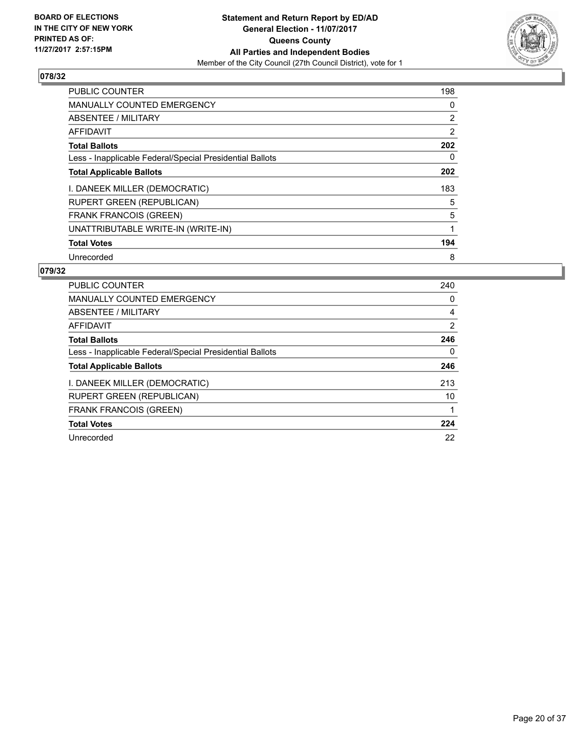

| <b>PUBLIC COUNTER</b>                                    | 198            |
|----------------------------------------------------------|----------------|
| <b>MANUALLY COUNTED EMERGENCY</b>                        | 0              |
| ABSENTEE / MILITARY                                      | $\overline{2}$ |
| <b>AFFIDAVIT</b>                                         | 2              |
| <b>Total Ballots</b>                                     | 202            |
| Less - Inapplicable Federal/Special Presidential Ballots | 0              |
| <b>Total Applicable Ballots</b>                          | 202            |
| I. DANEEK MILLER (DEMOCRATIC)                            | 183            |
| <b>RUPERT GREEN (REPUBLICAN)</b>                         | 5              |
| <b>FRANK FRANCOIS (GREEN)</b>                            | 5              |
| UNATTRIBUTABLE WRITE-IN (WRITE-IN)                       |                |
| <b>Total Votes</b>                                       | 194            |
| Unrecorded                                               | 8              |

| <b>PUBLIC COUNTER</b>                                    | 240 |
|----------------------------------------------------------|-----|
| <b>MANUALLY COUNTED EMERGENCY</b>                        | 0   |
| ABSENTEE / MILITARY                                      | 4   |
| AFFIDAVIT                                                | 2   |
| <b>Total Ballots</b>                                     | 246 |
| Less - Inapplicable Federal/Special Presidential Ballots | 0   |
| <b>Total Applicable Ballots</b>                          | 246 |
| I. DANEEK MILLER (DEMOCRATIC)                            | 213 |
| <b>RUPERT GREEN (REPUBLICAN)</b>                         | 10  |
| <b>FRANK FRANCOIS (GREEN)</b>                            |     |
| <b>Total Votes</b>                                       | 224 |
| Unrecorded                                               | 22  |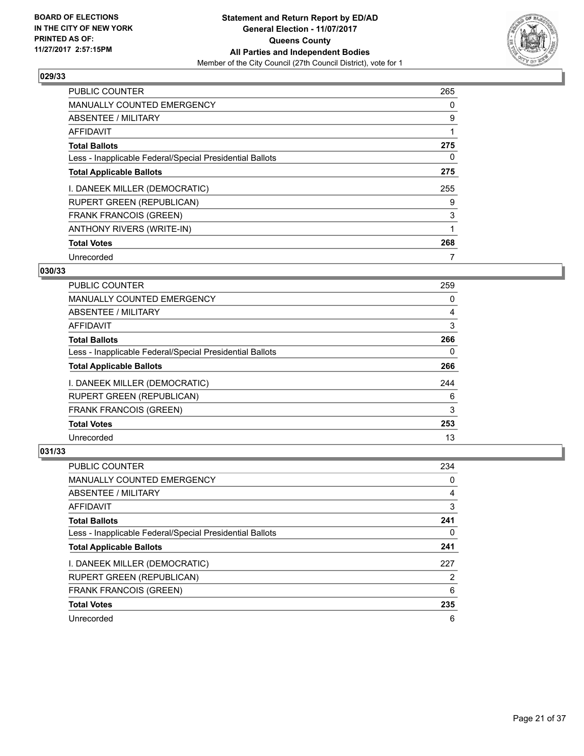

| <b>PUBLIC COUNTER</b>                                    | 265 |
|----------------------------------------------------------|-----|
| <b>MANUALLY COUNTED EMERGENCY</b>                        | 0   |
| ABSENTEE / MILITARY                                      | 9   |
| AFFIDAVIT                                                |     |
| <b>Total Ballots</b>                                     | 275 |
| Less - Inapplicable Federal/Special Presidential Ballots | 0   |
| <b>Total Applicable Ballots</b>                          | 275 |
| I. DANEEK MILLER (DEMOCRATIC)                            | 255 |
| <b>RUPERT GREEN (REPUBLICAN)</b>                         | 9   |
| <b>FRANK FRANCOIS (GREEN)</b>                            | 3   |
| ANTHONY RIVERS (WRITE-IN)                                |     |
| <b>Total Votes</b>                                       | 268 |
| Unrecorded                                               |     |

# **030/33**

| <b>PUBLIC COUNTER</b>                                    | 259 |
|----------------------------------------------------------|-----|
| <b>MANUALLY COUNTED EMERGENCY</b>                        | 0   |
| ABSENTEE / MILITARY                                      | 4   |
| AFFIDAVIT                                                | 3   |
| <b>Total Ballots</b>                                     | 266 |
| Less - Inapplicable Federal/Special Presidential Ballots | 0   |
| <b>Total Applicable Ballots</b>                          | 266 |
| I. DANEEK MILLER (DEMOCRATIC)                            | 244 |
| <b>RUPERT GREEN (REPUBLICAN)</b>                         | 6   |
| <b>FRANK FRANCOIS (GREEN)</b>                            | 3   |
| <b>Total Votes</b>                                       | 253 |
| Unrecorded                                               | 13  |

| PUBLIC COUNTER                                           | 234 |
|----------------------------------------------------------|-----|
| <b>MANUALLY COUNTED EMERGENCY</b>                        | 0   |
| ABSENTEE / MILITARY                                      | 4   |
| AFFIDAVIT                                                | 3   |
| <b>Total Ballots</b>                                     | 241 |
| Less - Inapplicable Federal/Special Presidential Ballots | 0   |
| <b>Total Applicable Ballots</b>                          | 241 |
| I. DANEEK MILLER (DEMOCRATIC)                            | 227 |
| <b>RUPERT GREEN (REPUBLICAN)</b>                         | 2   |
| <b>FRANK FRANCOIS (GREEN)</b>                            | 6   |
| <b>Total Votes</b>                                       | 235 |
| Unrecorded                                               | 6   |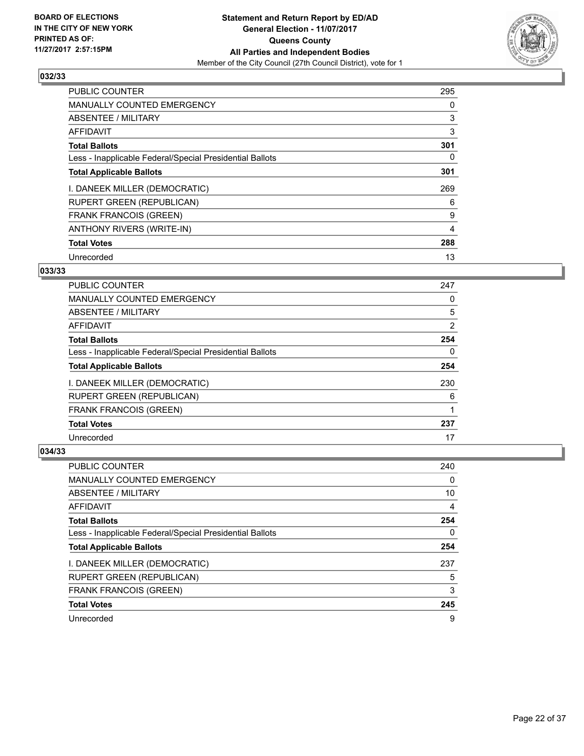

| <b>PUBLIC COUNTER</b>                                    | 295 |
|----------------------------------------------------------|-----|
| <b>MANUALLY COUNTED EMERGENCY</b>                        | 0   |
| ABSENTEE / MILITARY                                      | 3   |
| AFFIDAVIT                                                | 3   |
| <b>Total Ballots</b>                                     | 301 |
| Less - Inapplicable Federal/Special Presidential Ballots | 0   |
| <b>Total Applicable Ballots</b>                          | 301 |
| I. DANEEK MILLER (DEMOCRATIC)                            | 269 |
| <b>RUPERT GREEN (REPUBLICAN)</b>                         | 6   |
| <b>FRANK FRANCOIS (GREEN)</b>                            | 9   |
| ANTHONY RIVERS (WRITE-IN)                                | 4   |
| <b>Total Votes</b>                                       | 288 |
| Unrecorded                                               | 13  |

# **033/33**

| <b>PUBLIC COUNTER</b>                                    | 247 |
|----------------------------------------------------------|-----|
| <b>MANUALLY COUNTED EMERGENCY</b>                        | 0   |
| ABSENTEE / MILITARY                                      | 5   |
| AFFIDAVIT                                                | 2   |
| <b>Total Ballots</b>                                     | 254 |
| Less - Inapplicable Federal/Special Presidential Ballots | 0   |
| <b>Total Applicable Ballots</b>                          | 254 |
| I. DANEEK MILLER (DEMOCRATIC)                            | 230 |
| <b>RUPERT GREEN (REPUBLICAN)</b>                         | 6   |
| FRANK FRANCOIS (GREEN)                                   |     |
| <b>Total Votes</b>                                       | 237 |
| Unrecorded                                               | 17  |

| PUBLIC COUNTER                                           | 240 |
|----------------------------------------------------------|-----|
| <b>MANUALLY COUNTED EMERGENCY</b>                        | 0   |
| ABSENTEE / MILITARY                                      | 10  |
| AFFIDAVIT                                                | 4   |
| <b>Total Ballots</b>                                     | 254 |
| Less - Inapplicable Federal/Special Presidential Ballots | 0   |
| <b>Total Applicable Ballots</b>                          | 254 |
| I. DANEEK MILLER (DEMOCRATIC)                            | 237 |
| <b>RUPERT GREEN (REPUBLICAN)</b>                         | 5   |
| <b>FRANK FRANCOIS (GREEN)</b>                            | 3   |
| <b>Total Votes</b>                                       | 245 |
| Unrecorded                                               | 9   |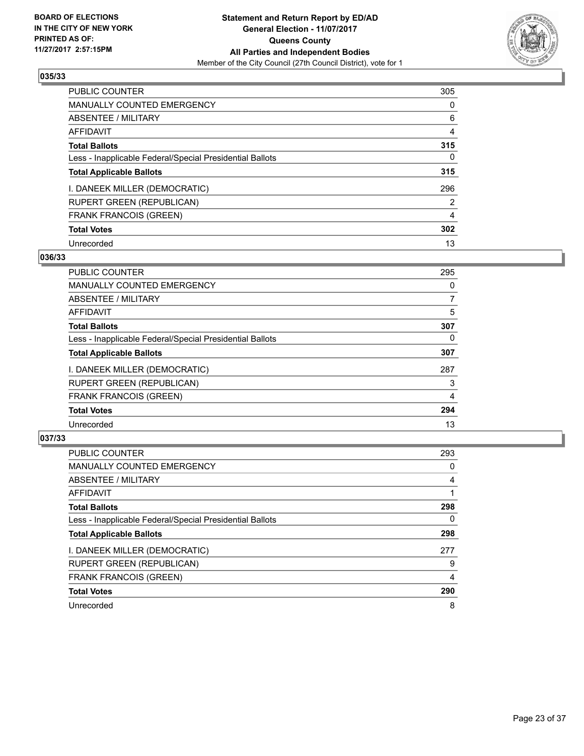

| <b>PUBLIC COUNTER</b>                                    | 305            |
|----------------------------------------------------------|----------------|
| <b>MANUALLY COUNTED EMERGENCY</b>                        | 0              |
| ABSENTEE / MILITARY                                      | 6              |
| AFFIDAVIT                                                | 4              |
| <b>Total Ballots</b>                                     | 315            |
| Less - Inapplicable Federal/Special Presidential Ballots | 0              |
| <b>Total Applicable Ballots</b>                          | 315            |
| I. DANEEK MILLER (DEMOCRATIC)                            | 296            |
| <b>RUPERT GREEN (REPUBLICAN)</b>                         | $\overline{2}$ |
| <b>FRANK FRANCOIS (GREEN)</b>                            | 4              |
| <b>Total Votes</b>                                       | 302            |
| Unrecorded                                               | 13             |

#### **036/33**

| <b>PUBLIC COUNTER</b>                                    | 295 |
|----------------------------------------------------------|-----|
| MANUALLY COUNTED EMERGENCY                               | 0   |
| ABSENTEE / MILITARY                                      | 7   |
| <b>AFFIDAVIT</b>                                         | 5   |
| <b>Total Ballots</b>                                     | 307 |
| Less - Inapplicable Federal/Special Presidential Ballots | 0   |
| <b>Total Applicable Ballots</b>                          | 307 |
| I. DANEEK MILLER (DEMOCRATIC)                            | 287 |
| <b>RUPERT GREEN (REPUBLICAN)</b>                         | 3   |
| <b>FRANK FRANCOIS (GREEN)</b>                            | 4   |
| <b>Total Votes</b>                                       | 294 |
| Unrecorded                                               | 13  |

| <b>PUBLIC COUNTER</b>                                    | 293 |
|----------------------------------------------------------|-----|
| <b>MANUALLY COUNTED EMERGENCY</b>                        | 0   |
| ABSENTEE / MILITARY                                      | 4   |
| AFFIDAVIT                                                |     |
| <b>Total Ballots</b>                                     | 298 |
| Less - Inapplicable Federal/Special Presidential Ballots | 0   |
| <b>Total Applicable Ballots</b>                          | 298 |
| I. DANEEK MILLER (DEMOCRATIC)                            | 277 |
| <b>RUPERT GREEN (REPUBLICAN)</b>                         | 9   |
| <b>FRANK FRANCOIS (GREEN)</b>                            | 4   |
| <b>Total Votes</b>                                       | 290 |
| Unrecorded                                               | 8   |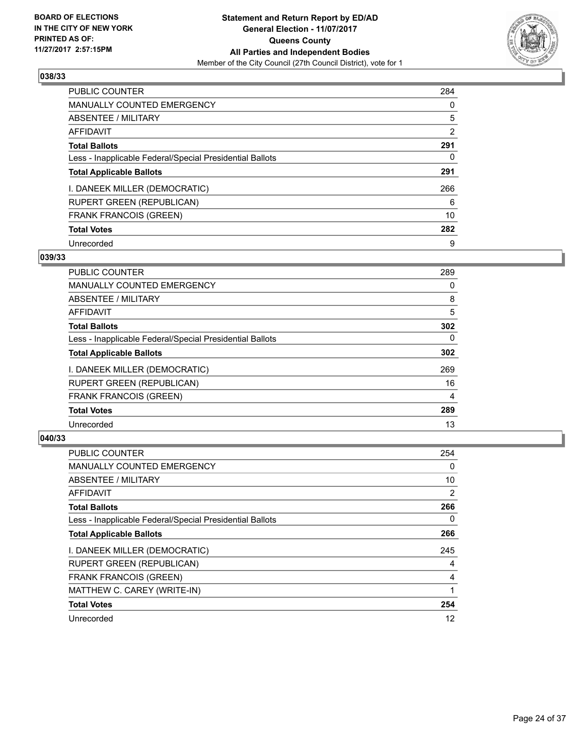

| <b>PUBLIC COUNTER</b>                                    | 284            |
|----------------------------------------------------------|----------------|
| <b>MANUALLY COUNTED EMERGENCY</b>                        | 0              |
| ABSENTEE / MILITARY                                      | 5              |
| AFFIDAVIT                                                | $\overline{2}$ |
| <b>Total Ballots</b>                                     | 291            |
| Less - Inapplicable Federal/Special Presidential Ballots | 0              |
| <b>Total Applicable Ballots</b>                          | 291            |
| I. DANEEK MILLER (DEMOCRATIC)                            | 266            |
| <b>RUPERT GREEN (REPUBLICAN)</b>                         | 6              |
| <b>FRANK FRANCOIS (GREEN)</b>                            | 10             |
| <b>Total Votes</b>                                       | 282            |
| Unrecorded                                               | 9              |

#### **039/33**

| <b>PUBLIC COUNTER</b>                                    | 289      |
|----------------------------------------------------------|----------|
| <b>MANUALLY COUNTED EMERGENCY</b>                        | 0        |
| ABSENTEE / MILITARY                                      | 8        |
| <b>AFFIDAVIT</b>                                         | 5        |
| <b>Total Ballots</b>                                     | 302      |
| Less - Inapplicable Federal/Special Presidential Ballots | $\Omega$ |
| <b>Total Applicable Ballots</b>                          | 302      |
| I. DANEEK MILLER (DEMOCRATIC)                            | 269      |
| <b>RUPERT GREEN (REPUBLICAN)</b>                         | 16       |
| <b>FRANK FRANCOIS (GREEN)</b>                            | 4        |
| <b>Total Votes</b>                                       | 289      |
| Unrecorded                                               | 13       |

| <b>PUBLIC COUNTER</b>                                    | 254            |
|----------------------------------------------------------|----------------|
| MANUALLY COUNTED EMERGENCY                               | 0              |
| ABSENTEE / MILITARY                                      | 10             |
| AFFIDAVIT                                                | $\overline{2}$ |
| <b>Total Ballots</b>                                     | 266            |
| Less - Inapplicable Federal/Special Presidential Ballots | 0              |
| <b>Total Applicable Ballots</b>                          | 266            |
| I. DANEEK MILLER (DEMOCRATIC)                            | 245            |
| <b>RUPERT GREEN (REPUBLICAN)</b>                         | 4              |
| <b>FRANK FRANCOIS (GREEN)</b>                            | 4              |
| MATTHEW C. CAREY (WRITE-IN)                              |                |
| <b>Total Votes</b>                                       | 254            |
| Unrecorded                                               | 12             |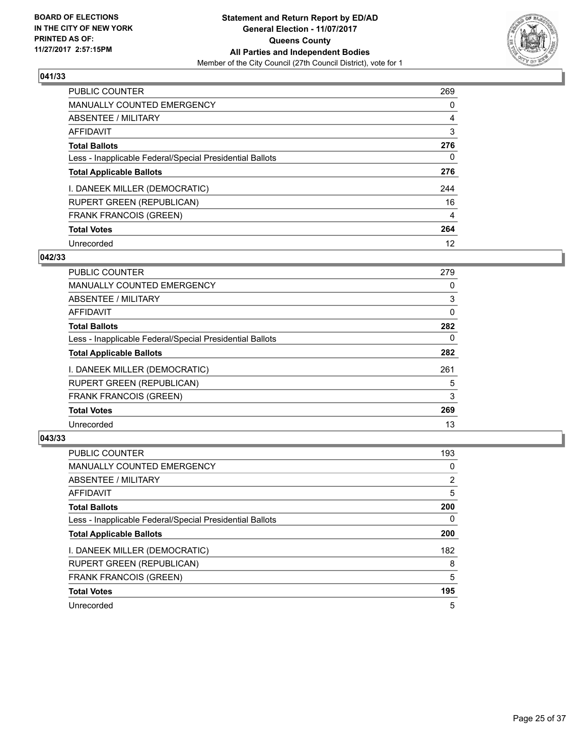

| <b>PUBLIC COUNTER</b>                                    | 269 |
|----------------------------------------------------------|-----|
| <b>MANUALLY COUNTED EMERGENCY</b>                        | 0   |
| ABSENTEE / MILITARY                                      | 4   |
| AFFIDAVIT                                                | 3   |
| <b>Total Ballots</b>                                     | 276 |
| Less - Inapplicable Federal/Special Presidential Ballots | 0   |
| <b>Total Applicable Ballots</b>                          | 276 |
| I. DANEEK MILLER (DEMOCRATIC)                            | 244 |
| <b>RUPERT GREEN (REPUBLICAN)</b>                         | 16  |
| <b>FRANK FRANCOIS (GREEN)</b>                            | 4   |
| <b>Total Votes</b>                                       | 264 |
| Unrecorded                                               | 12  |

#### **042/33**

| <b>PUBLIC COUNTER</b>                                    | 279 |
|----------------------------------------------------------|-----|
| <b>MANUALLY COUNTED EMERGENCY</b>                        | 0   |
| <b>ABSENTEE / MILITARY</b>                               | 3   |
| <b>AFFIDAVIT</b>                                         | 0   |
| <b>Total Ballots</b>                                     | 282 |
| Less - Inapplicable Federal/Special Presidential Ballots | 0   |
| <b>Total Applicable Ballots</b>                          | 282 |
| I. DANEEK MILLER (DEMOCRATIC)                            | 261 |
| RUPERT GREEN (REPUBLICAN)                                | 5   |
| <b>FRANK FRANCOIS (GREEN)</b>                            | 3   |
| <b>Total Votes</b>                                       | 269 |
| Unrecorded                                               | 13  |

| <b>PUBLIC COUNTER</b>                                    | 193            |
|----------------------------------------------------------|----------------|
| <b>MANUALLY COUNTED EMERGENCY</b>                        | 0              |
| ABSENTEE / MILITARY                                      | $\overline{2}$ |
| AFFIDAVIT                                                | 5              |
| <b>Total Ballots</b>                                     | 200            |
| Less - Inapplicable Federal/Special Presidential Ballots | 0              |
| <b>Total Applicable Ballots</b>                          | 200            |
| I. DANEEK MILLER (DEMOCRATIC)                            | 182            |
| <b>RUPERT GREEN (REPUBLICAN)</b>                         | 8              |
| <b>FRANK FRANCOIS (GREEN)</b>                            | 5              |
| <b>Total Votes</b>                                       | 195            |
| Unrecorded                                               | 5              |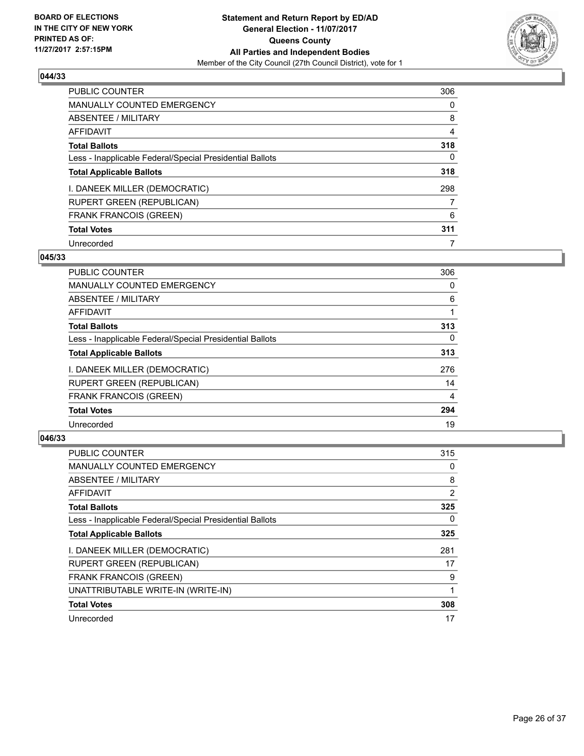

| <b>PUBLIC COUNTER</b>                                    | 306 |
|----------------------------------------------------------|-----|
| <b>MANUALLY COUNTED EMERGENCY</b>                        | 0   |
| ABSENTEE / MILITARY                                      | 8   |
| AFFIDAVIT                                                | 4   |
| <b>Total Ballots</b>                                     | 318 |
| Less - Inapplicable Federal/Special Presidential Ballots | 0   |
| <b>Total Applicable Ballots</b>                          | 318 |
| I. DANEEK MILLER (DEMOCRATIC)                            | 298 |
| <b>RUPERT GREEN (REPUBLICAN)</b>                         | 7   |
| <b>FRANK FRANCOIS (GREEN)</b>                            | 6   |
| <b>Total Votes</b>                                       | 311 |
| Unrecorded                                               |     |

#### **045/33**

| <b>PUBLIC COUNTER</b>                                    | 306      |
|----------------------------------------------------------|----------|
| <b>MANUALLY COUNTED EMERGENCY</b>                        | 0        |
| <b>ABSENTEE / MILITARY</b>                               | 6        |
| <b>AFFIDAVIT</b>                                         |          |
| <b>Total Ballots</b>                                     | 313      |
| Less - Inapplicable Federal/Special Presidential Ballots | $\Omega$ |
| <b>Total Applicable Ballots</b>                          | 313      |
| I. DANEEK MILLER (DEMOCRATIC)                            | 276      |
| RUPERT GREEN (REPUBLICAN)                                | 14       |
| <b>FRANK FRANCOIS (GREEN)</b>                            | 4        |
| <b>Total Votes</b>                                       | 294      |
| Unrecorded                                               | 19       |

| <b>PUBLIC COUNTER</b>                                    | 315            |
|----------------------------------------------------------|----------------|
| <b>MANUALLY COUNTED EMERGENCY</b>                        | 0              |
| ABSENTEE / MILITARY                                      | 8              |
| AFFIDAVIT                                                | $\overline{2}$ |
| <b>Total Ballots</b>                                     | 325            |
| Less - Inapplicable Federal/Special Presidential Ballots | 0              |
| <b>Total Applicable Ballots</b>                          | 325            |
| I. DANEEK MILLER (DEMOCRATIC)                            | 281            |
| <b>RUPERT GREEN (REPUBLICAN)</b>                         | 17             |
| <b>FRANK FRANCOIS (GREEN)</b>                            | 9              |
| UNATTRIBUTABLE WRITE-IN (WRITE-IN)                       |                |
| <b>Total Votes</b>                                       | 308            |
| Unrecorded                                               | 17             |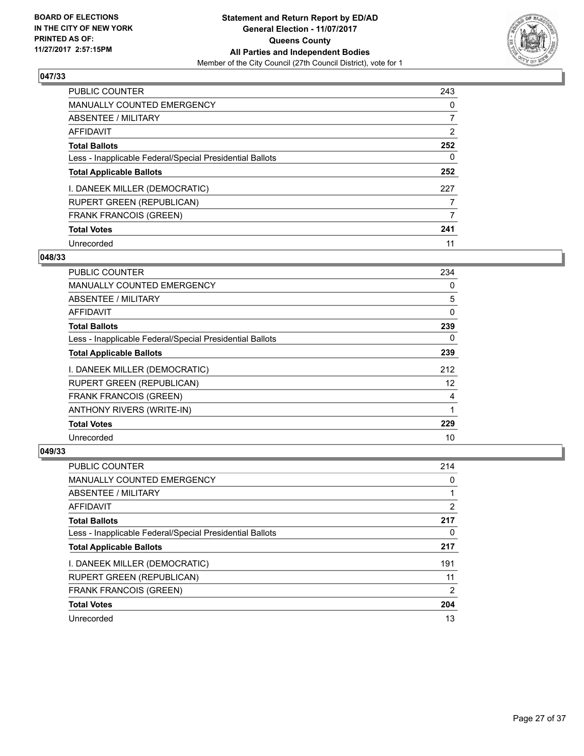

| <b>PUBLIC COUNTER</b>                                    | 243 |
|----------------------------------------------------------|-----|
| <b>MANUALLY COUNTED EMERGENCY</b>                        | 0   |
| ABSENTEE / MILITARY                                      | 7   |
| AFFIDAVIT                                                | 2   |
| <b>Total Ballots</b>                                     | 252 |
| Less - Inapplicable Federal/Special Presidential Ballots | 0   |
| <b>Total Applicable Ballots</b>                          | 252 |
| I. DANEEK MILLER (DEMOCRATIC)                            | 227 |
| <b>RUPERT GREEN (REPUBLICAN)</b>                         |     |
| <b>FRANK FRANCOIS (GREEN)</b>                            | 7   |
| <b>Total Votes</b>                                       | 241 |
| Unrecorded                                               | 11  |

#### **048/33**

| PUBLIC COUNTER                                           | 234 |
|----------------------------------------------------------|-----|
| <b>MANUALLY COUNTED EMERGENCY</b>                        | 0   |
| <b>ABSENTEE / MILITARY</b>                               | 5   |
| <b>AFFIDAVIT</b>                                         | 0   |
| <b>Total Ballots</b>                                     | 239 |
| Less - Inapplicable Federal/Special Presidential Ballots | 0   |
| <b>Total Applicable Ballots</b>                          | 239 |
| I. DANEEK MILLER (DEMOCRATIC)                            | 212 |
| <b>RUPERT GREEN (REPUBLICAN)</b>                         | 12  |
| <b>FRANK FRANCOIS (GREEN)</b>                            | 4   |
| <b>ANTHONY RIVERS (WRITE-IN)</b>                         | 1   |
| <b>Total Votes</b>                                       | 229 |
| Unrecorded                                               | 10  |

| PUBLIC COUNTER                                           | 214 |
|----------------------------------------------------------|-----|
| <b>MANUALLY COUNTED EMERGENCY</b>                        | 0   |
| ABSENTEE / MILITARY                                      |     |
| AFFIDAVIT                                                | 2   |
| <b>Total Ballots</b>                                     | 217 |
| Less - Inapplicable Federal/Special Presidential Ballots | 0   |
| <b>Total Applicable Ballots</b>                          | 217 |
| I. DANEEK MILLER (DEMOCRATIC)                            | 191 |
| RUPERT GREEN (REPUBLICAN)                                | 11  |
| FRANK FRANCOIS (GREEN)                                   | 2   |
| <b>Total Votes</b>                                       | 204 |
| Unrecorded                                               | 13  |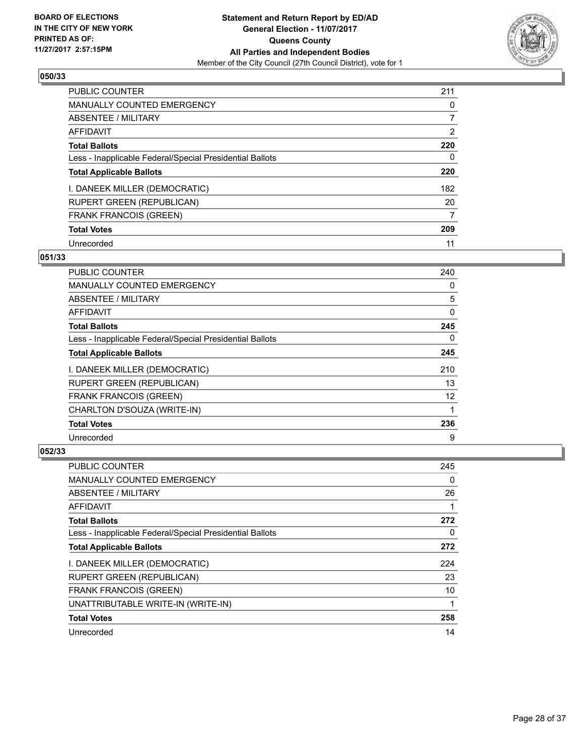

| <b>PUBLIC COUNTER</b>                                    | 211            |
|----------------------------------------------------------|----------------|
| <b>MANUALLY COUNTED EMERGENCY</b>                        | 0              |
| ABSENTEE / MILITARY                                      |                |
| <b>AFFIDAVIT</b>                                         | $\overline{2}$ |
| <b>Total Ballots</b>                                     | 220            |
| Less - Inapplicable Federal/Special Presidential Ballots | 0              |
| <b>Total Applicable Ballots</b>                          | 220            |
| I. DANEEK MILLER (DEMOCRATIC)                            | 182            |
| <b>RUPERT GREEN (REPUBLICAN)</b>                         | 20             |
| <b>FRANK FRANCOIS (GREEN)</b>                            | 7              |
| <b>Total Votes</b>                                       | 209            |
| Unrecorded                                               | 11             |

#### **051/33**

| PUBLIC COUNTER                                           | 240      |
|----------------------------------------------------------|----------|
| <b>MANUALLY COUNTED EMERGENCY</b>                        | 0        |
| ABSENTEE / MILITARY                                      | 5        |
| <b>AFFIDAVIT</b>                                         | 0        |
| <b>Total Ballots</b>                                     | 245      |
| Less - Inapplicable Federal/Special Presidential Ballots | $\Omega$ |
| <b>Total Applicable Ballots</b>                          | 245      |
| I. DANEEK MILLER (DEMOCRATIC)                            | 210      |
| <b>RUPERT GREEN (REPUBLICAN)</b>                         | 13       |
| <b>FRANK FRANCOIS (GREEN)</b>                            | 12       |
| CHARLTON D'SOUZA (WRITE-IN)                              | 1        |
| <b>Total Votes</b>                                       | 236      |
| Unrecorded                                               | 9        |

| <b>PUBLIC COUNTER</b>                                    | 245 |
|----------------------------------------------------------|-----|
| <b>MANUALLY COUNTED EMERGENCY</b>                        | 0   |
| ABSENTEE / MILITARY                                      | 26  |
| AFFIDAVIT                                                |     |
| <b>Total Ballots</b>                                     | 272 |
| Less - Inapplicable Federal/Special Presidential Ballots | 0   |
| <b>Total Applicable Ballots</b>                          | 272 |
| I. DANEEK MILLER (DEMOCRATIC)                            | 224 |
| <b>RUPERT GREEN (REPUBLICAN)</b>                         | 23  |
| <b>FRANK FRANCOIS (GREEN)</b>                            | 10  |
| UNATTRIBUTABLE WRITE-IN (WRITE-IN)                       |     |
| <b>Total Votes</b>                                       | 258 |
| Unrecorded                                               | 14  |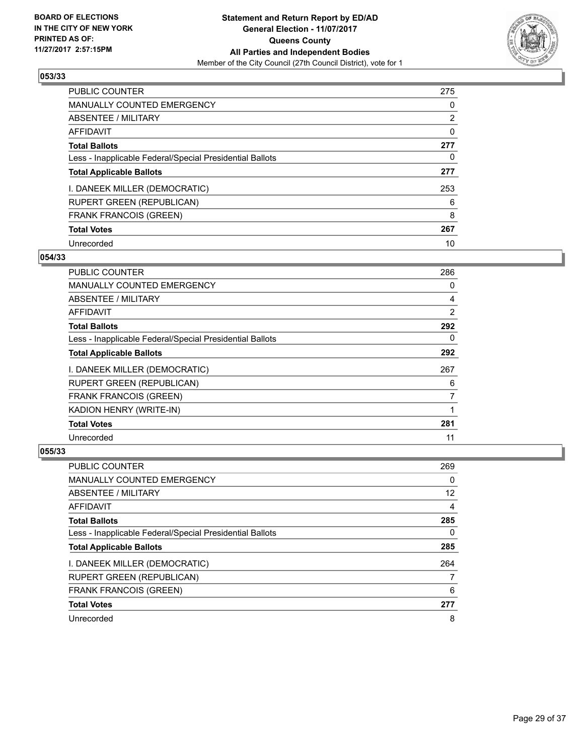

| <b>PUBLIC COUNTER</b>                                    | 275            |
|----------------------------------------------------------|----------------|
| MANUALLY COUNTED EMERGENCY                               | 0              |
| ABSENTEE / MILITARY                                      | $\overline{2}$ |
| <b>AFFIDAVIT</b>                                         | 0              |
| <b>Total Ballots</b>                                     | 277            |
| Less - Inapplicable Federal/Special Presidential Ballots | 0              |
| <b>Total Applicable Ballots</b>                          | 277            |
| I. DANEEK MILLER (DEMOCRATIC)                            | 253            |
| <b>RUPERT GREEN (REPUBLICAN)</b>                         | 6              |
| <b>FRANK FRANCOIS (GREEN)</b>                            | 8              |
| <b>Total Votes</b>                                       | 267            |
| Unrecorded                                               | 10             |

#### **054/33**

| PUBLIC COUNTER                                           | 286            |
|----------------------------------------------------------|----------------|
| <b>MANUALLY COUNTED EMERGENCY</b>                        | 0              |
| <b>ABSENTEE / MILITARY</b>                               | 4              |
| <b>AFFIDAVIT</b>                                         | 2              |
| <b>Total Ballots</b>                                     | 292            |
| Less - Inapplicable Federal/Special Presidential Ballots | 0              |
| <b>Total Applicable Ballots</b>                          | 292            |
| I. DANEEK MILLER (DEMOCRATIC)                            | 267            |
| <b>RUPERT GREEN (REPUBLICAN)</b>                         | 6              |
| <b>FRANK FRANCOIS (GREEN)</b>                            | $\overline{7}$ |
| KADION HENRY (WRITE-IN)                                  |                |
| <b>Total Votes</b>                                       | 281            |
| Unrecorded                                               | 11             |

| PUBLIC COUNTER                                           | 269 |
|----------------------------------------------------------|-----|
| <b>MANUALLY COUNTED EMERGENCY</b>                        | 0   |
| ABSENTEE / MILITARY                                      | 12  |
| AFFIDAVIT                                                | 4   |
| <b>Total Ballots</b>                                     | 285 |
| Less - Inapplicable Federal/Special Presidential Ballots | 0   |
| <b>Total Applicable Ballots</b>                          | 285 |
| I. DANEEK MILLER (DEMOCRATIC)                            | 264 |
| <b>RUPERT GREEN (REPUBLICAN)</b>                         |     |
| FRANK FRANCOIS (GREEN)                                   | 6   |
| <b>Total Votes</b>                                       | 277 |
| Unrecorded                                               | 8   |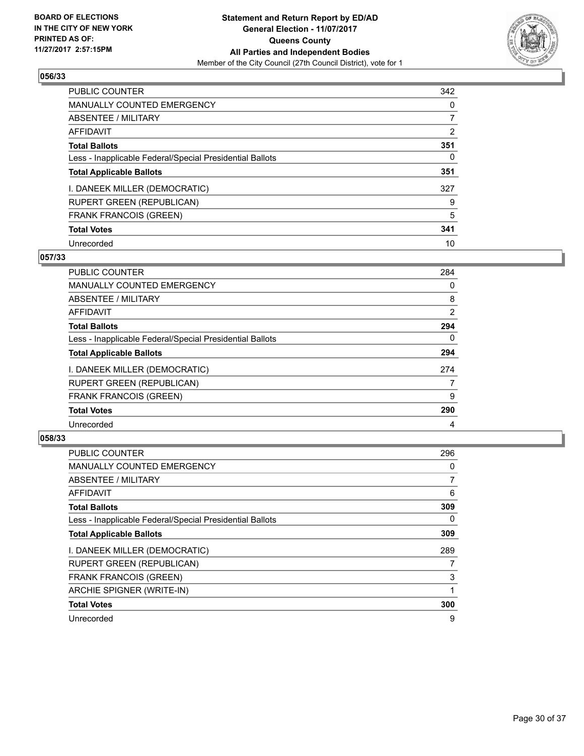

| <b>PUBLIC COUNTER</b>                                    | 342 |
|----------------------------------------------------------|-----|
| <b>MANUALLY COUNTED EMERGENCY</b>                        | 0   |
| ABSENTEE / MILITARY                                      |     |
| AFFIDAVIT                                                | 2   |
| <b>Total Ballots</b>                                     | 351 |
| Less - Inapplicable Federal/Special Presidential Ballots | 0   |
| <b>Total Applicable Ballots</b>                          | 351 |
| I. DANEEK MILLER (DEMOCRATIC)                            | 327 |
| <b>RUPERT GREEN (REPUBLICAN)</b>                         | 9   |
| <b>FRANK FRANCOIS (GREEN)</b>                            | 5   |
| <b>Total Votes</b>                                       | 341 |
| Unrecorded                                               | 10  |

#### **057/33**

| <b>PUBLIC COUNTER</b>                                    | 284 |
|----------------------------------------------------------|-----|
| MANUALLY COUNTED EMERGENCY                               | 0   |
| ABSENTEE / MILITARY                                      | 8   |
| AFFIDAVIT                                                | 2   |
| <b>Total Ballots</b>                                     | 294 |
| Less - Inapplicable Federal/Special Presidential Ballots | 0   |
| <b>Total Applicable Ballots</b>                          | 294 |
| I. DANEEK MILLER (DEMOCRATIC)                            | 274 |
| <b>RUPERT GREEN (REPUBLICAN)</b>                         | 7   |
| <b>FRANK FRANCOIS (GREEN)</b>                            | 9   |
| <b>Total Votes</b>                                       | 290 |
| Unrecorded                                               | 4   |

| <b>PUBLIC COUNTER</b>                                    | 296            |
|----------------------------------------------------------|----------------|
| <b>MANUALLY COUNTED EMERGENCY</b>                        | 0              |
| ABSENTEE / MILITARY                                      | $\overline{7}$ |
| <b>AFFIDAVIT</b>                                         | 6              |
| <b>Total Ballots</b>                                     | 309            |
| Less - Inapplicable Federal/Special Presidential Ballots | 0              |
| <b>Total Applicable Ballots</b>                          | 309            |
| I. DANEEK MILLER (DEMOCRATIC)                            | 289            |
| <b>RUPERT GREEN (REPUBLICAN)</b>                         | 7              |
| <b>FRANK FRANCOIS (GREEN)</b>                            | 3              |
| ARCHIE SPIGNER (WRITE-IN)                                |                |
| <b>Total Votes</b>                                       | 300            |
| Unrecorded                                               | 9              |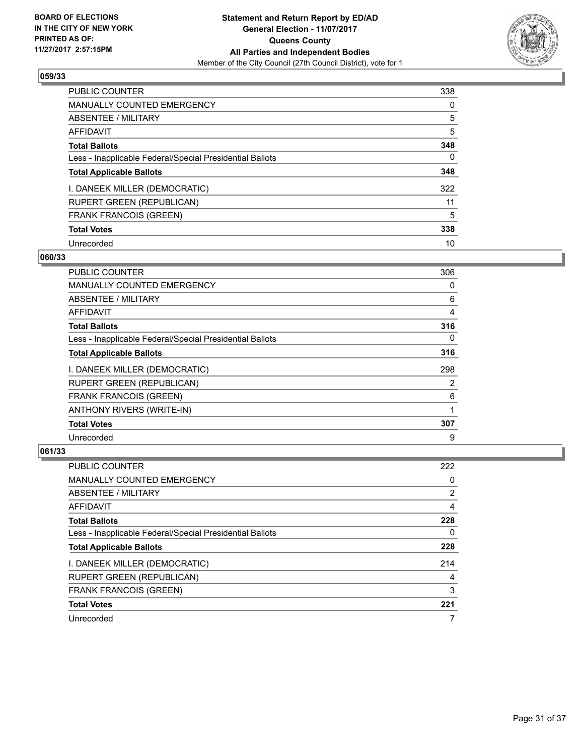

| <b>PUBLIC COUNTER</b>                                    | 338 |
|----------------------------------------------------------|-----|
| <b>MANUALLY COUNTED EMERGENCY</b>                        | 0   |
| ABSENTEE / MILITARY                                      | 5   |
| <b>AFFIDAVIT</b>                                         | 5   |
| <b>Total Ballots</b>                                     | 348 |
| Less - Inapplicable Federal/Special Presidential Ballots | 0   |
| <b>Total Applicable Ballots</b>                          | 348 |
| I. DANEEK MILLER (DEMOCRATIC)                            | 322 |
| <b>RUPERT GREEN (REPUBLICAN)</b>                         | 11  |
| <b>FRANK FRANCOIS (GREEN)</b>                            | 5   |
| <b>Total Votes</b>                                       | 338 |
| Unrecorded                                               | 10  |

#### **060/33**

| <b>PUBLIC COUNTER</b>                                    | 306 |
|----------------------------------------------------------|-----|
| <b>MANUALLY COUNTED EMERGENCY</b>                        | 0   |
| ABSENTEE / MILITARY                                      | 6   |
| AFFIDAVIT                                                | 4   |
| <b>Total Ballots</b>                                     | 316 |
| Less - Inapplicable Federal/Special Presidential Ballots | 0   |
| <b>Total Applicable Ballots</b>                          | 316 |
| I. DANEEK MILLER (DEMOCRATIC)                            | 298 |
| <b>RUPERT GREEN (REPUBLICAN)</b>                         | 2   |
| <b>FRANK FRANCOIS (GREEN)</b>                            | 6   |
| <b>ANTHONY RIVERS (WRITE-IN)</b>                         |     |
| <b>Total Votes</b>                                       | 307 |
| Unrecorded                                               | 9   |

| PUBLIC COUNTER                                           | 222 |
|----------------------------------------------------------|-----|
| <b>MANUALLY COUNTED EMERGENCY</b>                        | 0   |
| ABSENTEE / MILITARY                                      | 2   |
| AFFIDAVIT                                                | 4   |
| <b>Total Ballots</b>                                     | 228 |
| Less - Inapplicable Federal/Special Presidential Ballots | 0   |
| <b>Total Applicable Ballots</b>                          | 228 |
| I. DANEEK MILLER (DEMOCRATIC)                            | 214 |
| <b>RUPERT GREEN (REPUBLICAN)</b>                         | 4   |
| <b>FRANK FRANCOIS (GREEN)</b>                            | 3   |
| <b>Total Votes</b>                                       | 221 |
| Unrecorded                                               | 7   |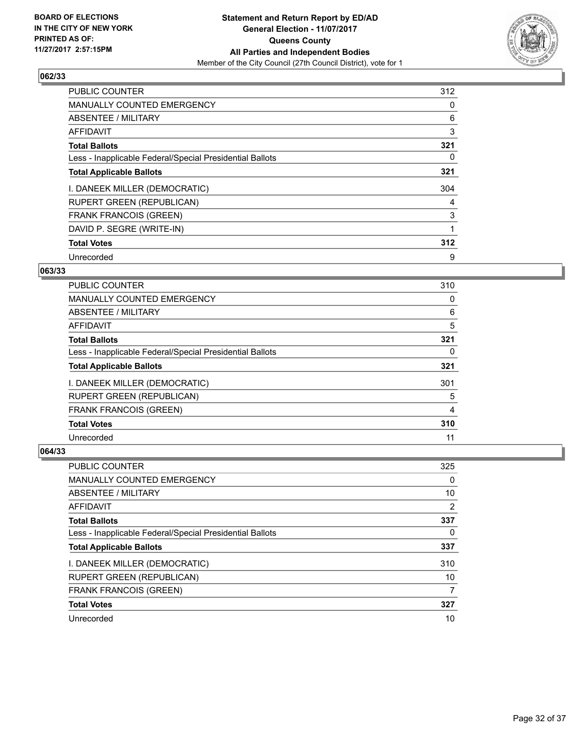

| <b>PUBLIC COUNTER</b>                                    | 312 |
|----------------------------------------------------------|-----|
| <b>MANUALLY COUNTED EMERGENCY</b>                        | 0   |
| ABSENTEE / MILITARY                                      | 6   |
| <b>AFFIDAVIT</b>                                         | 3   |
| <b>Total Ballots</b>                                     | 321 |
| Less - Inapplicable Federal/Special Presidential Ballots | 0   |
| <b>Total Applicable Ballots</b>                          | 321 |
| I. DANEEK MILLER (DEMOCRATIC)                            | 304 |
| <b>RUPERT GREEN (REPUBLICAN)</b>                         | 4   |
| <b>FRANK FRANCOIS (GREEN)</b>                            | 3   |
| DAVID P. SEGRE (WRITE-IN)                                |     |
| <b>Total Votes</b>                                       | 312 |
| Unrecorded                                               | 9   |

## **063/33**

| <b>PUBLIC COUNTER</b>                                    | 310 |
|----------------------------------------------------------|-----|
| <b>MANUALLY COUNTED EMERGENCY</b>                        | 0   |
| ABSENTEE / MILITARY                                      | 6   |
| AFFIDAVIT                                                | 5   |
| <b>Total Ballots</b>                                     | 321 |
| Less - Inapplicable Federal/Special Presidential Ballots | 0   |
| <b>Total Applicable Ballots</b>                          | 321 |
| I. DANEEK MILLER (DEMOCRATIC)                            | 301 |
| <b>RUPERT GREEN (REPUBLICAN)</b>                         | 5   |
| <b>FRANK FRANCOIS (GREEN)</b>                            | 4   |
| <b>Total Votes</b>                                       | 310 |
| Unrecorded                                               | 11  |

| PUBLIC COUNTER                                           | 325 |
|----------------------------------------------------------|-----|
| <b>MANUALLY COUNTED EMERGENCY</b>                        | 0   |
| ABSENTEE / MILITARY                                      | 10  |
| AFFIDAVIT                                                | 2   |
| <b>Total Ballots</b>                                     | 337 |
| Less - Inapplicable Federal/Special Presidential Ballots | 0   |
| <b>Total Applicable Ballots</b>                          | 337 |
| I. DANEEK MILLER (DEMOCRATIC)                            | 310 |
| RUPERT GREEN (REPUBLICAN)                                | 10  |
| <b>FRANK FRANCOIS (GREEN)</b>                            | 7   |
| <b>Total Votes</b>                                       | 327 |
| Unrecorded                                               | 10  |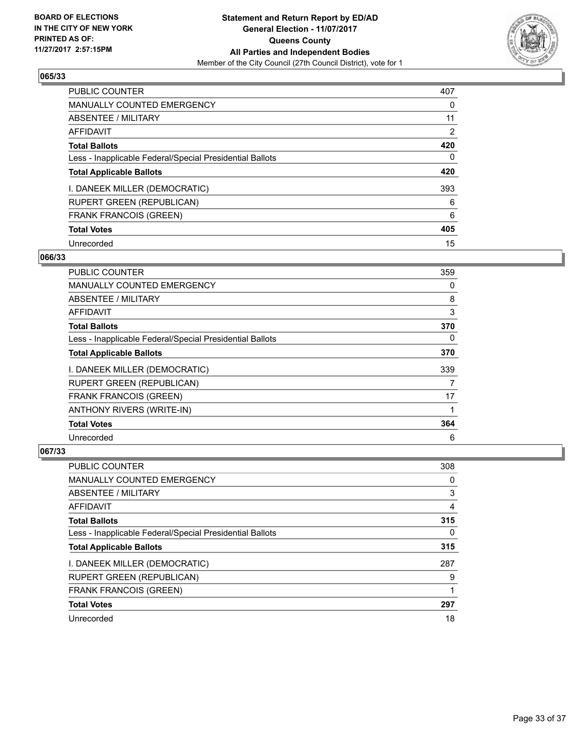

| <b>PUBLIC COUNTER</b>                                    | 407 |
|----------------------------------------------------------|-----|
| <b>MANUALLY COUNTED EMERGENCY</b>                        | 0   |
| ABSENTEE / MILITARY                                      | 11  |
| <b>AFFIDAVIT</b>                                         | 2   |
| <b>Total Ballots</b>                                     | 420 |
| Less - Inapplicable Federal/Special Presidential Ballots | 0   |
| <b>Total Applicable Ballots</b>                          | 420 |
| I. DANEEK MILLER (DEMOCRATIC)                            | 393 |
| <b>RUPERT GREEN (REPUBLICAN)</b>                         | 6   |
| <b>FRANK FRANCOIS (GREEN)</b>                            | 6   |
| <b>Total Votes</b>                                       | 405 |
| Unrecorded                                               | 15  |

#### **066/33**

| PUBLIC COUNTER                                           | 359      |
|----------------------------------------------------------|----------|
| <b>MANUALLY COUNTED EMERGENCY</b>                        | 0        |
| ABSENTEE / MILITARY                                      | 8        |
| <b>AFFIDAVIT</b>                                         | 3        |
| <b>Total Ballots</b>                                     | 370      |
| Less - Inapplicable Federal/Special Presidential Ballots | $\Omega$ |
| <b>Total Applicable Ballots</b>                          | 370      |
| I. DANEEK MILLER (DEMOCRATIC)                            | 339      |
| <b>RUPERT GREEN (REPUBLICAN)</b>                         | 7        |
| <b>FRANK FRANCOIS (GREEN)</b>                            | 17       |
| ANTHONY RIVERS (WRITE-IN)                                |          |
| <b>Total Votes</b>                                       | 364      |
| Unrecorded                                               | 6        |

| PUBLIC COUNTER                                           | 308 |
|----------------------------------------------------------|-----|
| <b>MANUALLY COUNTED EMERGENCY</b>                        | 0   |
| ABSENTEE / MILITARY                                      | 3   |
| AFFIDAVIT                                                | 4   |
| <b>Total Ballots</b>                                     | 315 |
| Less - Inapplicable Federal/Special Presidential Ballots | 0   |
| <b>Total Applicable Ballots</b>                          | 315 |
| I. DANEEK MILLER (DEMOCRATIC)                            | 287 |
| <b>RUPERT GREEN (REPUBLICAN)</b>                         | 9   |
| <b>FRANK FRANCOIS (GREEN)</b>                            |     |
| <b>Total Votes</b>                                       | 297 |
| Unrecorded                                               | 18  |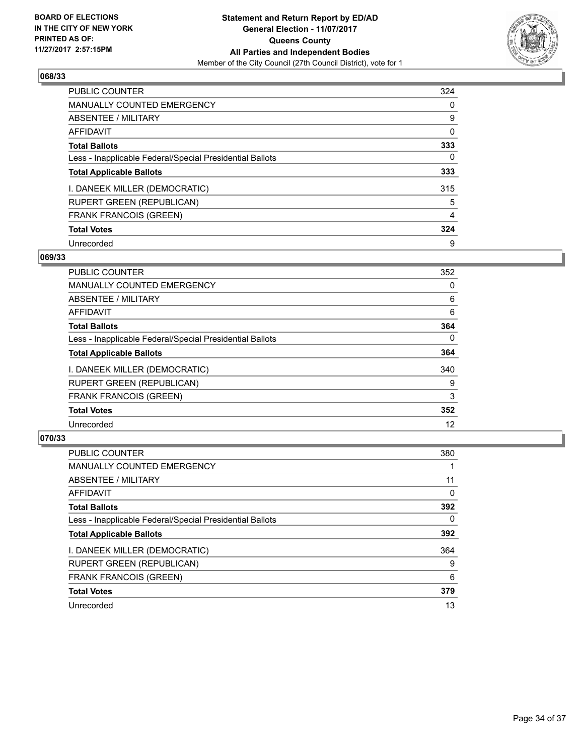

| <b>PUBLIC COUNTER</b>                                    | 324 |
|----------------------------------------------------------|-----|
| MANUALLY COUNTED EMERGENCY                               | 0   |
| ABSENTEE / MILITARY                                      | 9   |
| <b>AFFIDAVIT</b>                                         | 0   |
| <b>Total Ballots</b>                                     | 333 |
| Less - Inapplicable Federal/Special Presidential Ballots | 0   |
| <b>Total Applicable Ballots</b>                          | 333 |
| I. DANEEK MILLER (DEMOCRATIC)                            | 315 |
| <b>RUPERT GREEN (REPUBLICAN)</b>                         | 5   |
| <b>FRANK FRANCOIS (GREEN)</b>                            | 4   |
| <b>Total Votes</b>                                       | 324 |
| Unrecorded                                               | 9   |

#### **069/33**

| <b>PUBLIC COUNTER</b>                                    | 352      |
|----------------------------------------------------------|----------|
| <b>MANUALLY COUNTED EMERGENCY</b>                        | 0        |
| ABSENTEE / MILITARY                                      | 6        |
| <b>AFFIDAVIT</b>                                         | 6        |
| <b>Total Ballots</b>                                     | 364      |
| Less - Inapplicable Federal/Special Presidential Ballots | $\Omega$ |
| <b>Total Applicable Ballots</b>                          | 364      |
| I. DANEEK MILLER (DEMOCRATIC)                            | 340      |
| <b>RUPERT GREEN (REPUBLICAN)</b>                         | 9        |
| <b>FRANK FRANCOIS (GREEN)</b>                            | 3        |
| <b>Total Votes</b>                                       | 352      |
| Unrecorded                                               | 12       |

| <b>PUBLIC COUNTER</b>                                    | 380 |
|----------------------------------------------------------|-----|
| <b>MANUALLY COUNTED EMERGENCY</b>                        |     |
| ABSENTEE / MILITARY                                      | 11  |
| <b>AFFIDAVIT</b>                                         | 0   |
| <b>Total Ballots</b>                                     | 392 |
| Less - Inapplicable Federal/Special Presidential Ballots | 0   |
| <b>Total Applicable Ballots</b>                          | 392 |
| I. DANEEK MILLER (DEMOCRATIC)                            | 364 |
| <b>RUPERT GREEN (REPUBLICAN)</b>                         | 9   |
| <b>FRANK FRANCOIS (GREEN)</b>                            | 6   |
| <b>Total Votes</b>                                       | 379 |
| Unrecorded                                               | 13  |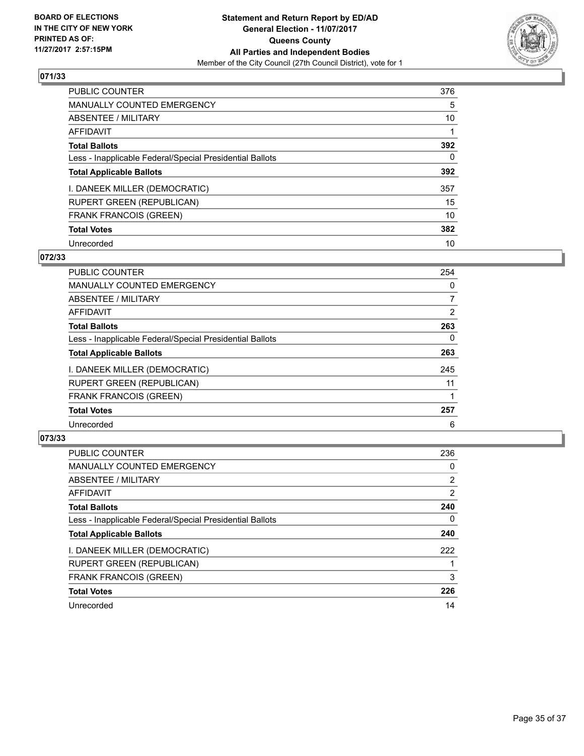

| <b>PUBLIC COUNTER</b>                                    | 376 |
|----------------------------------------------------------|-----|
| <b>MANUALLY COUNTED EMERGENCY</b>                        | 5   |
| ABSENTEE / MILITARY                                      | 10  |
| <b>AFFIDAVIT</b>                                         |     |
| <b>Total Ballots</b>                                     | 392 |
| Less - Inapplicable Federal/Special Presidential Ballots | 0   |
| <b>Total Applicable Ballots</b>                          | 392 |
| I. DANEEK MILLER (DEMOCRATIC)                            | 357 |
| <b>RUPERT GREEN (REPUBLICAN)</b>                         | 15  |
| <b>FRANK FRANCOIS (GREEN)</b>                            | 10  |
| <b>Total Votes</b>                                       | 382 |
| Unrecorded                                               | 10  |

#### **072/33**

| <b>PUBLIC COUNTER</b>                                    | 254 |
|----------------------------------------------------------|-----|
| <b>MANUALLY COUNTED EMERGENCY</b>                        | 0   |
| ABSENTEE / MILITARY                                      | 7   |
| AFFIDAVIT                                                | 2   |
| <b>Total Ballots</b>                                     | 263 |
| Less - Inapplicable Federal/Special Presidential Ballots | 0   |
| <b>Total Applicable Ballots</b>                          | 263 |
| I. DANEEK MILLER (DEMOCRATIC)                            | 245 |
| <b>RUPERT GREEN (REPUBLICAN)</b>                         | 11  |
| <b>FRANK FRANCOIS (GREEN)</b>                            |     |
| <b>Total Votes</b>                                       | 257 |
| Unrecorded                                               | 6   |

| <b>PUBLIC COUNTER</b>                                    | 236 |
|----------------------------------------------------------|-----|
| <b>MANUALLY COUNTED EMERGENCY</b>                        | 0   |
| ABSENTEE / MILITARY                                      | 2   |
| <b>AFFIDAVIT</b>                                         | 2   |
| <b>Total Ballots</b>                                     | 240 |
| Less - Inapplicable Federal/Special Presidential Ballots | 0   |
| <b>Total Applicable Ballots</b>                          | 240 |
| I. DANEEK MILLER (DEMOCRATIC)                            | 222 |
| <b>RUPERT GREEN (REPUBLICAN)</b>                         |     |
| <b>FRANK FRANCOIS (GREEN)</b>                            | 3   |
| <b>Total Votes</b>                                       | 226 |
| Unrecorded                                               | 14  |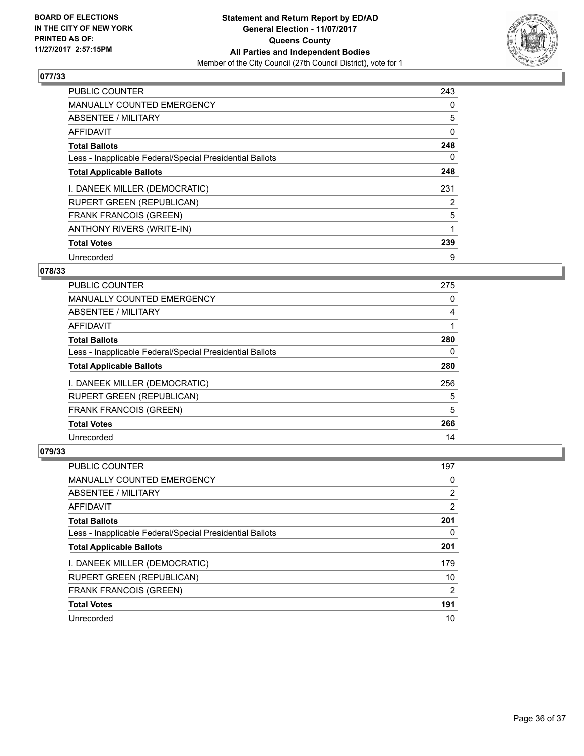

| <b>PUBLIC COUNTER</b>                                    | 243 |
|----------------------------------------------------------|-----|
| <b>MANUALLY COUNTED EMERGENCY</b>                        | 0   |
| ABSENTEE / MILITARY                                      | 5   |
| <b>AFFIDAVIT</b>                                         | 0   |
| <b>Total Ballots</b>                                     | 248 |
| Less - Inapplicable Federal/Special Presidential Ballots | 0   |
| <b>Total Applicable Ballots</b>                          | 248 |
| I. DANEEK MILLER (DEMOCRATIC)                            | 231 |
| RUPERT GREEN (REPUBLICAN)                                | 2   |
| FRANK FRANCOIS (GREEN)                                   | 5   |
| ANTHONY RIVERS (WRITE-IN)                                |     |
| <b>Total Votes</b>                                       | 239 |
| Unrecorded                                               | 9   |

# **078/33**

| <b>PUBLIC COUNTER</b>                                    | 275 |
|----------------------------------------------------------|-----|
| <b>MANUALLY COUNTED EMERGENCY</b>                        | 0   |
| ABSENTEE / MILITARY                                      | 4   |
| AFFIDAVIT                                                |     |
| <b>Total Ballots</b>                                     | 280 |
| Less - Inapplicable Federal/Special Presidential Ballots | 0   |
| <b>Total Applicable Ballots</b>                          | 280 |
| I. DANEEK MILLER (DEMOCRATIC)                            | 256 |
| <b>RUPERT GREEN (REPUBLICAN)</b>                         | 5   |
| <b>FRANK FRANCOIS (GREEN)</b>                            | 5   |
| <b>Total Votes</b>                                       | 266 |
| Unrecorded                                               | 14  |

| PUBLIC COUNTER                                           | 197 |
|----------------------------------------------------------|-----|
| <b>MANUALLY COUNTED EMERGENCY</b>                        | 0   |
| ABSENTEE / MILITARY                                      | 2   |
| AFFIDAVIT                                                | 2   |
| <b>Total Ballots</b>                                     | 201 |
| Less - Inapplicable Federal/Special Presidential Ballots | 0   |
| <b>Total Applicable Ballots</b>                          | 201 |
| I. DANEEK MILLER (DEMOCRATIC)                            | 179 |
| <b>RUPERT GREEN (REPUBLICAN)</b>                         | 10  |
| <b>FRANK FRANCOIS (GREEN)</b>                            | 2   |
| <b>Total Votes</b>                                       | 191 |
| Unrecorded                                               | 10  |